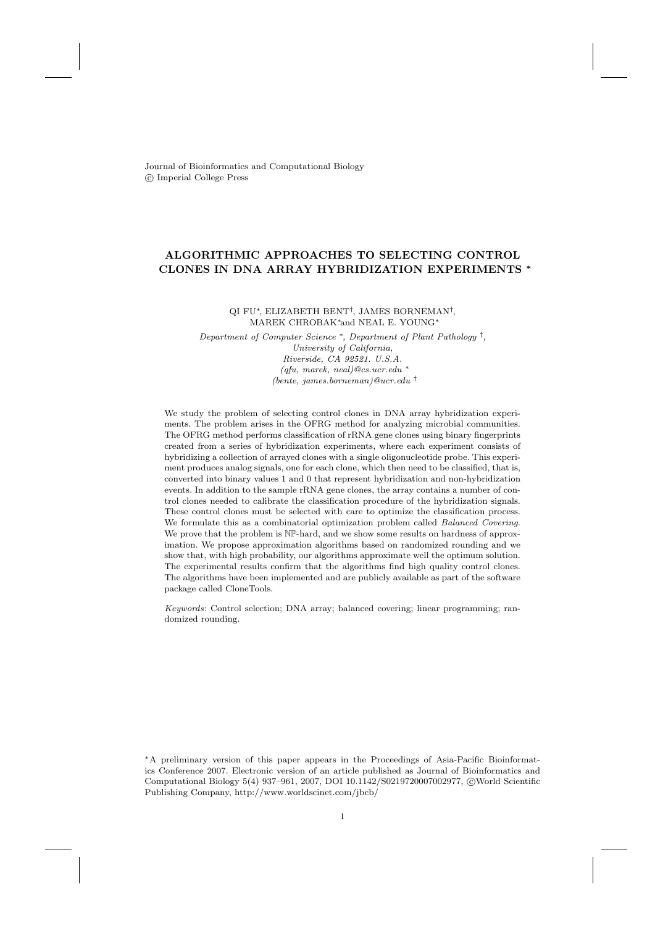Journal of Bioinformatics and Computational Biology c Imperial College Press

# ALGORITHMIC APPROACHES TO SELECTING CONTROL CLONES IN DNA ARRAY HYBRIDIZATION EXPERIMENTS <sup>∗</sup>

QI FU∗, ELIZABETH BENT† , JAMES BORNEMAN† , MAREK CHROBAK∗and NEAL E. YOUNG<sup>∗</sup>

Department of Computer Science <sup>∗</sup>, Department of Plant Pathology † , University of California, Riverside, CA 92521. U.S.A. (qfu, marek, neal)@cs.ucr.edu <sup>∗</sup> (bente, james.borneman)@ucr.edu †

We study the problem of selecting control clones in DNA array hybridization experiments. The problem arises in the OFRG method for analyzing microbial communities. The OFRG method performs classification of rRNA gene clones using binary fingerprints created from a series of hybridization experiments, where each experiment consists of hybridizing a collection of arrayed clones with a single oligonucleotide probe. This experiment produces analog signals, one for each clone, which then need to be classified, that is, converted into binary values 1 and 0 that represent hybridization and non-hybridization events. In addition to the sample rRNA gene clones, the array contains a number of control clones needed to calibrate the classification procedure of the hybridization signals. These control clones must be selected with care to optimize the classification process. We formulate this as a combinatorial optimization problem called Balanced Covering. We prove that the problem is  $\mathbb{NP}$ -hard, and we show some results on hardness of approximation. We propose approximation algorithms based on randomized rounding and we show that, with high probability, our algorithms approximate well the optimum solution. The experimental results confirm that the algorithms find high quality control clones. The algorithms have been implemented and are publicly available as part of the software package called CloneTools.

Keywords: Control selection; DNA array; balanced covering; linear programming; randomized rounding.

<sup>∗</sup>A preliminary version of this paper appears in the Proceedings of Asia-Pacific Bioinformatics Conference 2007. Electronic version of an article published as Journal of Bioinformatics and Computational Biology 5(4) 937-961, 2007, DOI 10.1142/S0219720007002977, ©World Scientific Publishing Company, http://www.worldscinet.com/jbcb/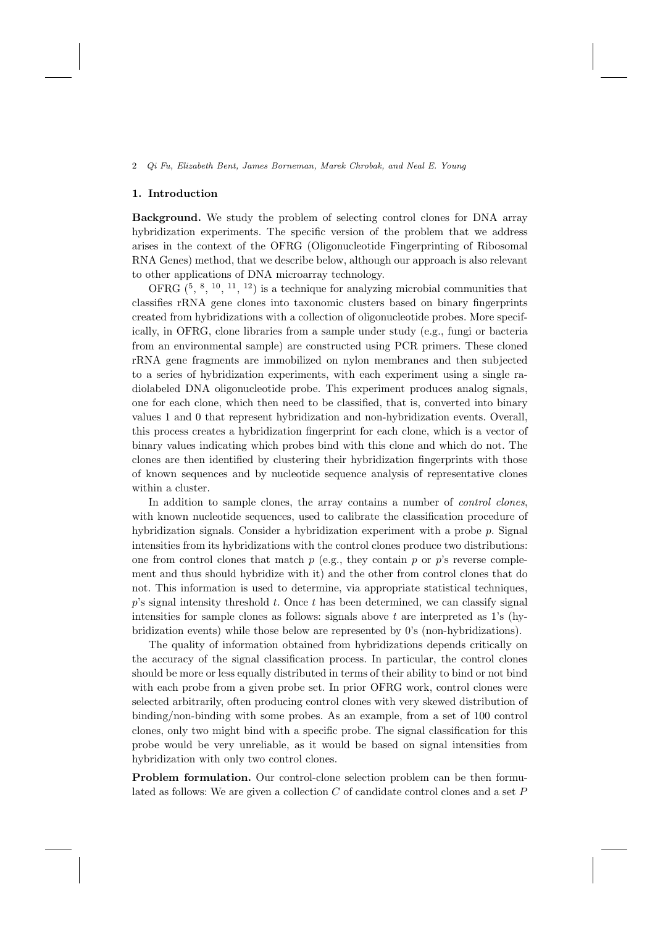### 1. Introduction

Background. We study the problem of selecting control clones for DNA array hybridization experiments. The specific version of the problem that we address arises in the context of the OFRG (Oligonucleotide Fingerprinting of Ribosomal RNA Genes) method, that we describe below, although our approach is also relevant to other applications of DNA microarray technology.

OFRG  $(5, 8, 10, 11, 12)$  is a technique for analyzing microbial communities that classifies rRNA gene clones into taxonomic clusters based on binary fingerprints created from hybridizations with a collection of oligonucleotide probes. More specifically, in OFRG, clone libraries from a sample under study (e.g., fungi or bacteria from an environmental sample) are constructed using PCR primers. These cloned rRNA gene fragments are immobilized on nylon membranes and then subjected to a series of hybridization experiments, with each experiment using a single radiolabeled DNA oligonucleotide probe. This experiment produces analog signals, one for each clone, which then need to be classified, that is, converted into binary values 1 and 0 that represent hybridization and non-hybridization events. Overall, this process creates a hybridization fingerprint for each clone, which is a vector of binary values indicating which probes bind with this clone and which do not. The clones are then identified by clustering their hybridization fingerprints with those of known sequences and by nucleotide sequence analysis of representative clones within a cluster.

In addition to sample clones, the array contains a number of *control clones*, with known nucleotide sequences, used to calibrate the classification procedure of hybridization signals. Consider a hybridization experiment with a probe p. Signal intensities from its hybridizations with the control clones produce two distributions: one from control clones that match  $p$  (e.g., they contain  $p$  or  $p$ 's reverse complement and thus should hybridize with it) and the other from control clones that do not. This information is used to determine, via appropriate statistical techniques,  $p$ 's signal intensity threshold  $t$ . Once  $t$  has been determined, we can classify signal intensities for sample clones as follows: signals above  $t$  are interpreted as 1's (hybridization events) while those below are represented by 0's (non-hybridizations).

The quality of information obtained from hybridizations depends critically on the accuracy of the signal classification process. In particular, the control clones should be more or less equally distributed in terms of their ability to bind or not bind with each probe from a given probe set. In prior OFRG work, control clones were selected arbitrarily, often producing control clones with very skewed distribution of binding/non-binding with some probes. As an example, from a set of 100 control clones, only two might bind with a specific probe. The signal classification for this probe would be very unreliable, as it would be based on signal intensities from hybridization with only two control clones.

Problem formulation. Our control-clone selection problem can be then formulated as follows: We are given a collection C of candidate control clones and a set P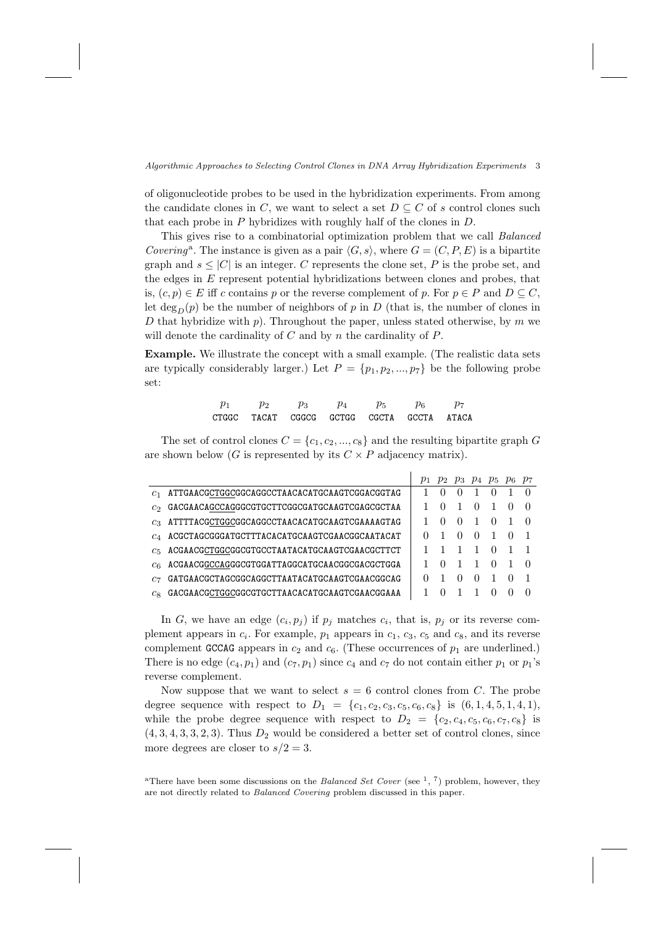of oligonucleotide probes to be used in the hybridization experiments. From among the candidate clones in C, we want to select a set  $D \subseteq C$  of s control clones such that each probe in  $P$  hybridizes with roughly half of the clones in  $D$ .

This gives rise to a combinatorial optimization problem that we call Balanced Covering<sup>a</sup>. The instance is given as a pair  $\langle G, s \rangle$ , where  $G = (C, P, E)$  is a bipartite graph and  $s \leq |C|$  is an integer. C represents the clone set, P is the probe set, and the edges in  $E$  represent potential hybridizations between clones and probes, that is,  $(c, p) \in E$  iff c contains p or the reverse complement of p. For  $p \in P$  and  $D \subseteq C$ , let deg<sub>n</sub> $(p)$  be the number of neighbors of p in D (that is, the number of clones in D that hybridize with p). Throughout the paper, unless stated otherwise, by m we will denote the cardinality of  $C$  and by  $n$  the cardinality of  $P$ .

Example. We illustrate the concept with a small example. (The realistic data sets are typically considerably larger.) Let  $P = \{p_1, p_2, ..., p_7\}$  be the following probe set:

| $p_1$ | $p_2$                                     | $p_3$ | $p_4$ | $p_5$ | $p_6$ |  |
|-------|-------------------------------------------|-------|-------|-------|-------|--|
|       | CTGGC TACAT CGGCG GCTGG CGCTA GCCTA ATACA |       |       |       |       |  |

The set of control clones  $C = \{c_1, c_2, ..., c_8\}$  and the resulting bipartite graph G are shown below (G is represented by its  $C \times P$  adjacency matrix).

|         |                                               |                  | $p_1$ $p_2$ $p_3$ $p_4$ $p_5$ $p_6$ $p_7$ |                  |                |  |
|---------|-----------------------------------------------|------------------|-------------------------------------------|------------------|----------------|--|
| $c_{1}$ | ATTGAACGCTGGCGGCAGGCCTAACACATGCAAGTCGGACGGTAG | $\theta$         | $\left( \right)$                          |                  | $\Omega$       |  |
| Сo      | GACGAACAGCCAGGGCGTGCTTCGGCGATGCAAGTCGAGCGCTAA | $\left( \right)$ |                                           | $\left( \right)$ | 1              |  |
| $c_3$   | ATTTTACGCTGGCGGCAGGCCTAACACATGCAAGTCGAAAAGTAG | $\cup$           | $\left( \right)$                          |                  | $\Omega$       |  |
| $c_A$   | ACGCTAGCGGGATGCTTTACACATGCAAGTCGAACGGCAATACAT |                  | $\theta$                                  | $\theta$         |                |  |
| $c_{5}$ | ACGAACGCTGGCGGCGTGCCTAATACATGCAAGTCGAACGCTTCT |                  | $\overline{1}$                            | $\overline{1}$   | $\overline{0}$ |  |
| $c_{6}$ | ACGAACGGCCAGGGCGTGGATTAGGCATGCAACGGCGACGCTGGA | $\Omega$         |                                           | $\overline{1}$   | $\Omega$       |  |
| C7      | GATGAACGCTAGCGGCAGGCTTAATACATGCAAGTCGAACGGCAG |                  | $\cup$                                    | $\left( \right)$ |                |  |
| $c_{8}$ | GACGAACGCTGGCGGCGTGCTTAACACATGCAAGTCGAACGGAAA |                  |                                           |                  |                |  |

In G, we have an edge  $(c_i, p_j)$  if  $p_j$  matches  $c_i$ , that is,  $p_j$  or its reverse complement appears in  $c_i$ . For example,  $p_1$  appears in  $c_1$ ,  $c_3$ ,  $c_5$  and  $c_8$ , and its reverse complement GCCAG appears in  $c_2$  and  $c_6$ . (These occurrences of  $p_1$  are underlined.) There is no edge  $(c_4, p_1)$  and  $(c_7, p_1)$  since  $c_4$  and  $c_7$  do not contain either  $p_1$  or  $p_1$ 's reverse complement.

Now suppose that we want to select  $s = 6$  control clones from C. The probe degree sequence with respect to  $D_1 = \{c_1, c_2, c_3, c_5, c_6, c_8\}$  is  $(6, 1, 4, 5, 1, 4, 1),$ while the probe degree sequence with respect to  $D_2 = \{c_2, c_4, c_5, c_6, c_7, c_8\}$  is  $(4, 3, 4, 3, 3, 2, 3)$ . Thus  $D_2$  would be considered a better set of control clones, since more degrees are closer to  $s/2 = 3$ .

<sup>a</sup>There have been some discussions on the *Balanced Set Cover* (see  $\frac{1}{2}$ ,  $\frac{7}{2}$ ) problem, however, they are not directly related to Balanced Covering problem discussed in this paper.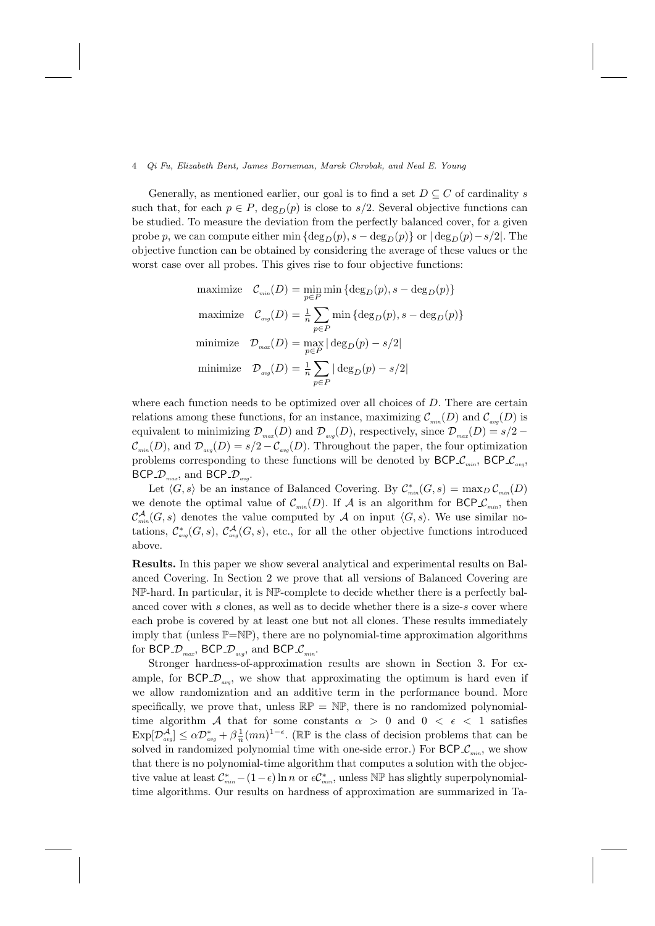Generally, as mentioned earlier, our goal is to find a set  $D \subseteq C$  of cardinality s such that, for each  $p \in P$ ,  $\deg_D(p)$  is close to  $s/2$ . Several objective functions can be studied. To measure the deviation from the perfectly balanced cover, for a given probe p, we can compute either min  $\{\deg_D(p), s - \deg_D(p)\}\$  or  $|\deg_D(p)-s/2|$ . The objective function can be obtained by considering the average of these values or the worst case over all probes. This gives rise to four objective functions:

maximize 
$$
\mathcal{C}_{min}(D) = \min_{p \in P} \min \{ \deg_D(p), s - \deg_D(p) \}
$$
  
\nmaximize  $\mathcal{C}_{avg}(D) = \frac{1}{n} \sum_{p \in P} \min \{ \deg_D(p), s - \deg_D(p) \}$   
\nminimize  $\mathcal{D}_{max}(D) = \max_{p \in P} |\deg_D(p) - s/2|$   
\nminimize  $\mathcal{D}_{avg}(D) = \frac{1}{n} \sum_{p \in P} |\deg_D(p) - s/2|$ 

where each function needs to be optimized over all choices of D. There are certain relations among these functions, for an instance, maximizing  $\mathcal{C}_{min}(D)$  and  $\mathcal{C}_{max}(D)$  is equivalent to minimizing  $\mathcal{D}_{max}(D)$  and  $\mathcal{D}_{avg}(D)$ , respectively, since  $\mathcal{D}_{max}(D) = s/2$  –  $\mathcal{C}_{min}(D)$ , and  $\mathcal{D}_{max}(D) = s/2 - \mathcal{C}_{max}(D)$ . Throughout the paper, the four optimization problems corresponding to these functions will be denoted by  $\mathsf{BCP\mathcal{L}_{min}}$ ,  $\mathsf{BCP\mathcal{L}_{avg}}$ , BCP<sub>- $\mathcal{D}_{max}$ </sub>, and BCP<sub>- $\mathcal{D}_{avg}$ </sub>.

Let  $\langle G, s \rangle$  be an instance of Balanced Covering. By  $\mathcal{C}_{min}^*(G, s) = \max_D \mathcal{C}_{min}(D)$ we denote the optimal value of  $\mathcal{C}_{min}(D)$ . If A is an algorithm for BCP  $\mathcal{C}_{min}$ , then  $\mathcal{C}_{min}^{\mathcal{A}}(G, s)$  denotes the value computed by  $\mathcal{A}$  on input  $\langle G, s \rangle$ . We use similar notations,  $\mathcal{C}^*_{\text{avg}}(G,s)$ ,  $\mathcal{C}^{\mathcal{A}}_{\text{avg}}(G,s)$ , etc., for all the other objective functions introduced above.

Results. In this paper we show several analytical and experimental results on Balanced Covering. In Section 2 we prove that all versions of Balanced Covering are NP-hard. In particular, it is NP-complete to decide whether there is a perfectly balanced cover with s clones, as well as to decide whether there is a size-s cover where each probe is covered by at least one but not all clones. These results immediately imply that (unless  $\mathbb{P}=\mathbb{NP}$ ), there are no polynomial-time approximation algorithms for BCP<sub>- $\mathcal{D}_{max}$ </sub>, BCP<sub>- $\mathcal{D}_{avg}$ </sub>, and BCP<sub>- $\mathcal{C}_{min}$ </sub>.

Stronger hardness-of-approximation results are shown in Section 3. For example, for  $BCP\_D_{avg}$ , we show that approximating the optimum is hard even if we allow randomization and an additive term in the performance bound. More specifically, we prove that, unless  $\mathbb{RP} = \mathbb{NP}$ , there is no randomized polynomialtime algorithm A that for some constants  $\alpha > 0$  and  $0 < \epsilon < 1$  satisfies  $\exp[\mathcal{D}^{\mathcal{A}}_{avg}] \leq \alpha \mathcal{D}^*_{avg} + \beta \frac{1}{n} (mn)^{1-\epsilon}$ . (RP is the class of decision problems that can be solved in randomized polynomial time with one-side error.) For  $BCP\mathcal{L}_{min}$ , we show that there is no polynomial-time algorithm that computes a solution with the objective value at least  $\mathcal{C}_{\min}^*$  –  $(1 - \epsilon) \ln n$  or  $\epsilon \mathcal{C}_{\min}^*$ , unless  $N \mathbb{P}$  has slightly superpolynomialtime algorithms. Our results on hardness of approximation are summarized in Ta-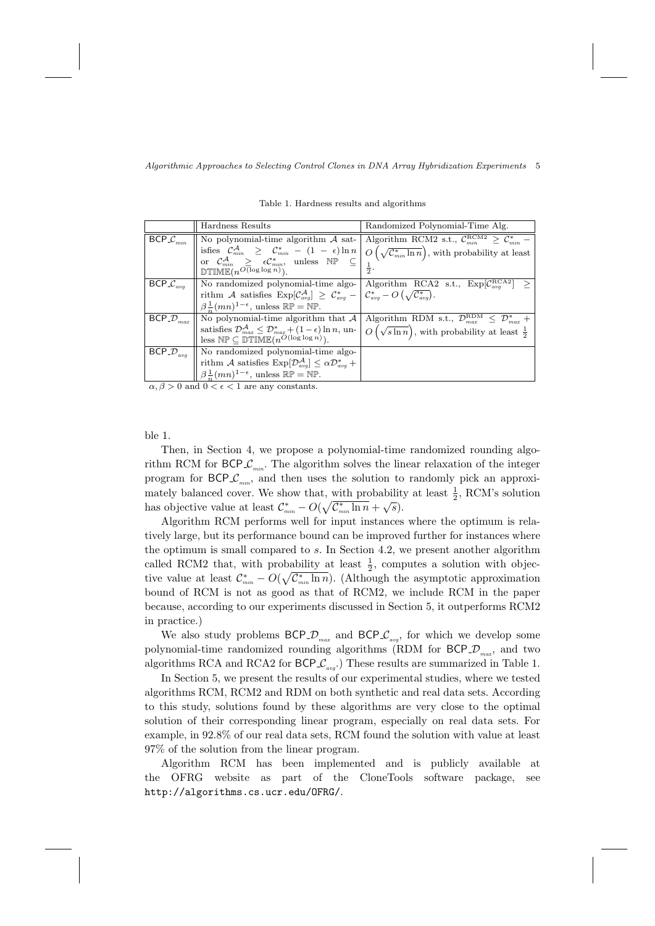|                                                     | Hardness Results                                                                                                                                 | Randomized Polynomial-Time Alg.                                                                                                                                                                                                                                                                                           |  |  |  |  |
|-----------------------------------------------------|--------------------------------------------------------------------------------------------------------------------------------------------------|---------------------------------------------------------------------------------------------------------------------------------------------------------------------------------------------------------------------------------------------------------------------------------------------------------------------------|--|--|--|--|
| $\overline{\mathsf{BCP}}\_\mathcal{C}_{min}$        | No polynomial-time algorithm $\mathcal A$ sat-                                                                                                   | Algorithm RCM2 s.t., $C_{min}^{RCM2} \geq C_{min}^*$                                                                                                                                                                                                                                                                      |  |  |  |  |
|                                                     |                                                                                                                                                  | isfies $\mathcal{C}^{\mathcal{A}}_{\min} \geq \mathcal{C}^*_{\min} - (1 - \epsilon) \ln n \left[ O\left(\sqrt{\mathcal{C}^*_{\min} \ln n}\right), \text{ with probability at least} \right]$<br>or $\mathcal{C}^{\mathcal{A}}_{\min} \geq \epsilon \mathcal{C}^*_{\min}$ , unless $\mathbb{NP} \subseteq \left[1 \right]$ |  |  |  |  |
|                                                     |                                                                                                                                                  |                                                                                                                                                                                                                                                                                                                           |  |  |  |  |
|                                                     | $DTIME(n^{O(\log \log n)})$ .                                                                                                                    |                                                                                                                                                                                                                                                                                                                           |  |  |  |  |
| $\overline{\mathsf{BCP}}\mathcal{L}_{\mathit{avg}}$ |                                                                                                                                                  | No randomized polynomial-time algo- Algorithm RCA2 s.t., $Exp[\mathcal{C}_{\text{avg}}^{RCA2}] \ge$                                                                                                                                                                                                                       |  |  |  |  |
|                                                     | rithm A satisfies $\text{Exp}[\mathcal{C}_{avg}^{\mathcal{A}}] \geq \mathcal{C}_{avg}^* -  \mathcal{C}_{avg}^* - O(\sqrt{\mathcal{C}_{avg}^*}).$ |                                                                                                                                                                                                                                                                                                                           |  |  |  |  |
|                                                     | $\beta \frac{1}{n}(mn)^{1-\epsilon}$ , unless $\mathbb{RP} = \mathbb{NP}$ .                                                                      |                                                                                                                                                                                                                                                                                                                           |  |  |  |  |
| $\overline{\mathsf{BCP}}\_\mathcal{D}_{max}$        | No polynomial-time algorithm that $A$                                                                                                            | Algorithm RDM s.t., $\mathcal{D}_{max}^{RDM} \leq \mathcal{D}_{max}^{*}$ +                                                                                                                                                                                                                                                |  |  |  |  |
|                                                     | satisfies $\mathcal{D}_{max}^{\mathcal{A}} \leq \mathcal{D}_{max}^* + (1 - \epsilon) \ln n$ , un-                                                | $O(\sqrt{\sin n})$ , with probability at least $\frac{1}{2}$                                                                                                                                                                                                                                                              |  |  |  |  |
|                                                     | less $\mathbb{NP} \subseteq \mathbb{DTIME}(n^{O(\log \log n)})$ .                                                                                |                                                                                                                                                                                                                                                                                                                           |  |  |  |  |
| $\overline{\mathsf{BCP}}$ - $\mathcal{D}_{avg}$     | No randomized polynomial-time algo-                                                                                                              |                                                                                                                                                                                                                                                                                                                           |  |  |  |  |
|                                                     | rithm A satisfies $\text{Exp}[\mathcal{D}_{avg}^{\mathcal{A}}] \leq \alpha \mathcal{D}_{avg}^*$ +                                                |                                                                                                                                                                                                                                                                                                                           |  |  |  |  |
|                                                     | $\beta \frac{1}{n} (mn)^{1-\epsilon}$ , unless $\mathbb{RP} = \mathbb{NP}$ .                                                                     |                                                                                                                                                                                                                                                                                                                           |  |  |  |  |

Table 1. Hardness results and algorithms

 $\frac{10^{-6} n^{(min)}$ , and  $\frac{10^{-6} n^{(min)}}{6}$ , and  $\frac{10^{-6} n^{(min)}}{6}$  and  $\frac{10^{-6} n^{(min)}}{6}$ .

ble 1.

Then, in Section 4, we propose a polynomial-time randomized rounding algorithm RCM for  $BCP\mathcal{L}_{min}$ . The algorithm solves the linear relaxation of the integer program for  $BCP_{min}$ , and then uses the solution to randomly pick an approximately balanced cover. We show that, with probability at least  $\frac{1}{2}$ , RCM's solution mately balanced cover. We show that, with probability has objective value at least  $\mathcal{C}^*_{min} - O(\sqrt{\mathcal{C}^*_{min} \ln n} + \sqrt{s})$ .

Algorithm RCM performs well for input instances where the optimum is relatively large, but its performance bound can be improved further for instances where the optimum is small compared to s. In Section 4.2, we present another algorithm called RCM2 that, with probability at least  $\frac{1}{2}$ , computes a solution with objective value at least  $\mathcal{C}_{min}^* - O(\sqrt{\mathcal{C}_{min}^* \ln n})$ . (Although the asymptotic approximation bound of RCM is not as good as that of RCM2, we include RCM in the paper because, according to our experiments discussed in Section 5, it outperforms RCM2 in practice.)

We also study problems  $\mathsf{BCP}.\mathcal{D}_{\max}$  and  $\mathsf{BCP}.\mathcal{C}_{\text{avg}}$ , for which we develop some polynomial-time randomized rounding algorithms (RDM for  $\mathsf{BCP}\_\mathcal{D}_{\mathit{max}}$ , and two algorithms RCA and RCA2 for  $BCP\mathcal{L}_{avg}$ .) These results are summarized in Table 1.

In Section 5, we present the results of our experimental studies, where we tested algorithms RCM, RCM2 and RDM on both synthetic and real data sets. According to this study, solutions found by these algorithms are very close to the optimal solution of their corresponding linear program, especially on real data sets. For example, in 92.8% of our real data sets, RCM found the solution with value at least 97% of the solution from the linear program.

Algorithm RCM has been implemented and is publicly available at the OFRG website as part of the CloneTools software package, see http://algorithms.cs.ucr.edu/OFRG/.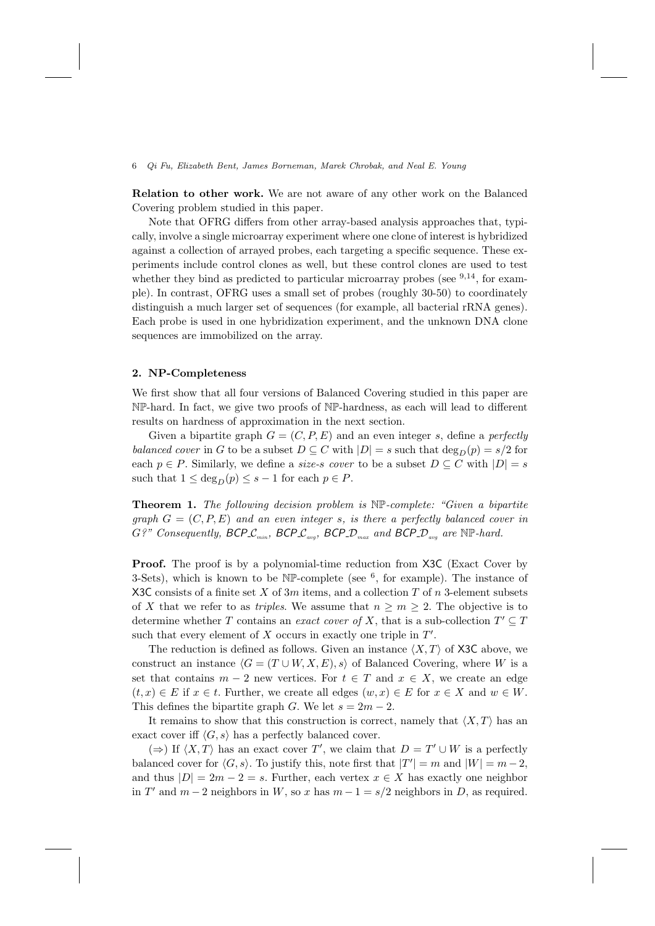Relation to other work. We are not aware of any other work on the Balanced Covering problem studied in this paper.

Note that OFRG differs from other array-based analysis approaches that, typically, involve a single microarray experiment where one clone of interest is hybridized against a collection of arrayed probes, each targeting a specific sequence. These experiments include control clones as well, but these control clones are used to test whether they bind as predicted to particular microarray probes (see  $9,14$ , for example). In contrast, OFRG uses a small set of probes (roughly 30-50) to coordinately distinguish a much larger set of sequences (for example, all bacterial rRNA genes). Each probe is used in one hybridization experiment, and the unknown DNA clone sequences are immobilized on the array.

## 2. NP-Completeness

We first show that all four versions of Balanced Covering studied in this paper are NP-hard. In fact, we give two proofs of NP-hardness, as each will lead to different results on hardness of approximation in the next section.

Given a bipartite graph  $G = (C, P, E)$  and an even integer s, define a perfectly balanced cover in G to be a subset  $D \subseteq C$  with  $|D| = s$  such that  $\deg_D(p) = s/2$  for each  $p \in P$ . Similarly, we define a *size-s cover* to be a subset  $D \subseteq C$  with  $|D| = s$ such that  $1 \leq \deg_D(p) \leq s-1$  for each  $p \in P$ .

**Theorem 1.** The following decision problem is  $NP$ -complete: "Given a bipartite" graph  $G = (C, P, E)$  and an even integer s, is there a perfectly balanced cover in  $G$ ?" Consequently, BCP $\mathcal{L}_{min}$ , BCP $\mathcal{L}_{avg}$ , BCP $\mathcal{D}_{max}$  and BCP $\mathcal{D}_{avg}$  are NP-hard.

Proof. The proof is by a polynomial-time reduction from X3C (Exact Cover by 3-Sets), which is known to be  $\mathbb{NP}$ -complete (see  $^6$ , for example). The instance of X3C consists of a finite set X of  $3m$  items, and a collection T of n 3-element subsets of X that we refer to as *triples*. We assume that  $n \geq m \geq 2$ . The objective is to determine whether T contains an *exact cover of* X, that is a sub-collection  $T' \subseteq T$ such that every element of  $X$  occurs in exactly one triple in  $T'$ .

The reduction is defined as follows. Given an instance  $\langle X, T \rangle$  of X3C above, we construct an instance  $\langle G = (T \cup W, X, E), s \rangle$  of Balanced Covering, where W is a set that contains  $m-2$  new vertices. For  $t \in T$  and  $x \in X$ , we create an edge  $(t, x) \in E$  if  $x \in t$ . Further, we create all edges  $(w, x) \in E$  for  $x \in X$  and  $w \in W$ . This defines the bipartite graph G. We let  $s = 2m - 2$ .

It remains to show that this construction is correct, namely that  $\langle X, T \rangle$  has an exact cover iff  $\langle G, s \rangle$  has a perfectly balanced cover.

 $(\Rightarrow)$  If  $\langle X, T \rangle$  has an exact cover T', we claim that  $D = T' \cup W$  is a perfectly balanced cover for  $\langle G, s \rangle$ . To justify this, note first that  $|T'| = m$  and  $|W| = m - 2$ , and thus  $|D| = 2m - 2 = s$ . Further, each vertex  $x \in X$  has exactly one neighbor in T' and  $m-2$  neighbors in W, so x has  $m-1 = s/2$  neighbors in D, as required.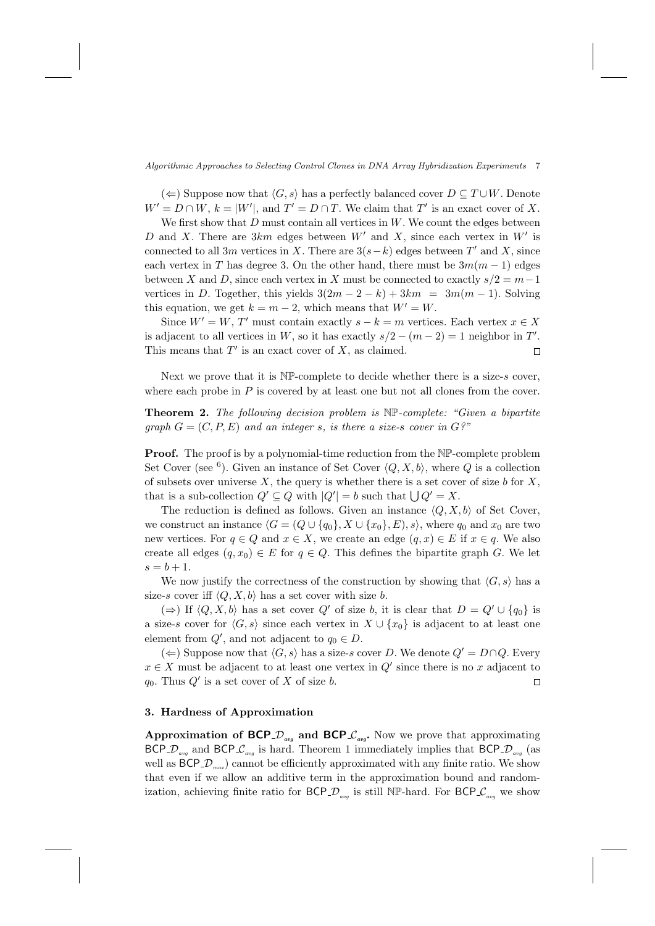(←) Suppose now that  $\langle G, s \rangle$  has a perfectly balanced cover  $D \subseteq T \cup W$ . Denote  $W' = D \cap W$ ,  $k = |W'|$ , and  $T' = D \cap T$ . We claim that  $T'$  is an exact cover of X.

We first show that  $D$  must contain all vertices in  $W$ . We count the edges between D and X. There are  $3km$  edges between  $W'$  and X, since each vertex in  $W'$  is connected to all 3m vertices in X. There are  $3(s-k)$  edges between T' and X, since each vertex in T has degree 3. On the other hand, there must be  $3m(m-1)$  edges between X and D, since each vertex in X must be connected to exactly  $s/2 = m-1$ vertices in D. Together, this yields  $3(2m - 2 - k) + 3km = 3m(m - 1)$ . Solving this equation, we get  $k = m - 2$ , which means that  $W' = W$ .

Since  $W' = W$ , T' must contain exactly  $s - k = m$  vertices. Each vertex  $x \in X$ is adjacent to all vertices in W, so it has exactly  $s/2 - (m-2) = 1$  neighbor in T'. This means that  $T'$  is an exact cover of  $X$ , as claimed.  $\Box$ 

Next we prove that it is  $N\mathbb{P}$ -complete to decide whether there is a size-s cover, where each probe in  $P$  is covered by at least one but not all clones from the cover.

**Theorem 2.** The following decision problem is  $N\mathbb{P}$ -complete: "Given a bipartite graph  $G = (C, P, E)$  and an integer s, is there a size-s cover in  $G<sup>2</sup>$ "

**Proof.** The proof is by a polynomial-time reduction from the  $N\mathbb{P}$ -complete problem Set Cover (see <sup>6</sup>). Given an instance of Set Cover  $\langle Q, X, b \rangle$ , where Q is a collection of subsets over universe  $X$ , the query is whether there is a set cover of size b for  $X$ , that is a sub-collection  $Q' \subseteq Q$  with  $|Q'| = b$  such that  $\bigcup Q' = X$ .

The reduction is defined as follows. Given an instance  $\langle Q, X, b \rangle$  of Set Cover, we construct an instance  $\langle G = (Q \cup \{q_0\}, X \cup \{x_0\}, E), s \rangle$ , where  $q_0$  and  $x_0$  are two new vertices. For  $q \in Q$  and  $x \in X$ , we create an edge  $(q, x) \in E$  if  $x \in q$ . We also create all edges  $(q, x_0) \in E$  for  $q \in Q$ . This defines the bipartite graph G. We let  $s = b + 1.$ 

We now justify the correctness of the construction by showing that  $\langle G, s \rangle$  has a size-s cover iff  $\langle Q, X, b \rangle$  has a set cover with size b.

 $(\Rightarrow)$  If  $\langle Q, X, b \rangle$  has a set cover Q' of size b, it is clear that  $D = Q' \cup \{q_0\}$  is a size-s cover for  $\langle G, s \rangle$  since each vertex in  $X \cup \{x_0\}$  is adjacent to at least one element from  $Q'$ , and not adjacent to  $q_0 \in D$ .

(←) Suppose now that  $\langle G, s \rangle$  has a size-s cover D. We denote  $Q' = D ∩ Q$ . Every  $x \in X$  must be adjacent to at least one vertex in  $Q'$  since there is no x adjacent to  $q_0$ . Thus  $Q'$  is a set cover of X of size b.  $\Box$ 

## 3. Hardness of Approximation

Approximation of BCP  $\mathcal{D}_{\text{avg}}$  and BCP  $\mathcal{L}_{\text{avg}}$ . Now we prove that approximating BCP  $D_{avg}$  and BCP  $\mathcal{L}_{avg}$  is hard. Theorem 1 immediately implies that BCP  $\mathcal{D}_{avg}$  (as well as  $BCP\_D_{max}$  cannot be efficiently approximated with any finite ratio. We show that even if we allow an additive term in the approximation bound and randomization, achieving finite ratio for BCP  $\mathcal{D}_{avg}$  is still NP-hard. For BCP  $\mathcal{C}_{avg}$  we show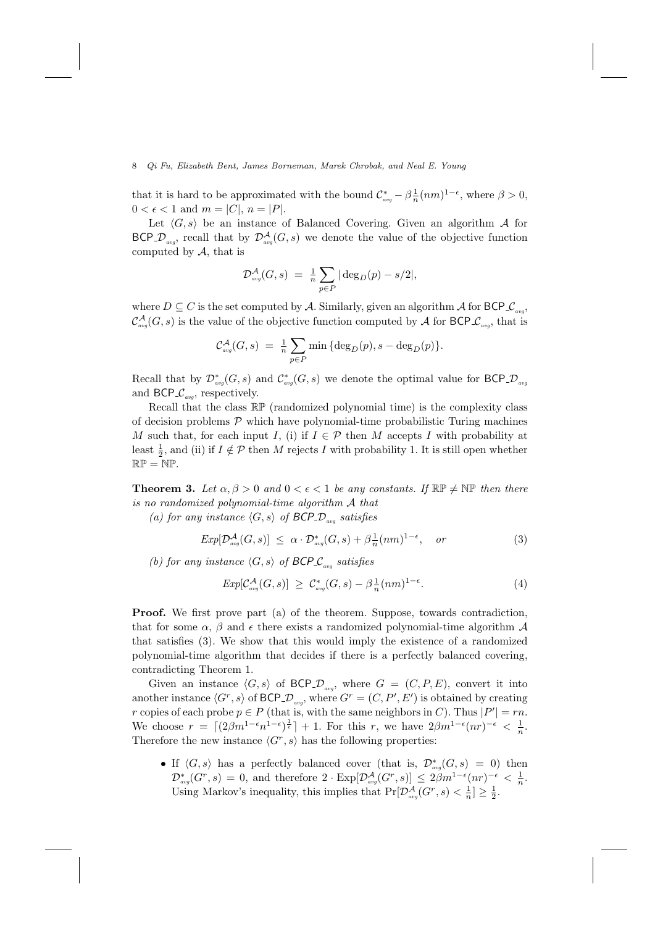that it is hard to be approximated with the bound  $\mathcal{C}_{avg}^* - \beta \frac{1}{n} (nm)^{1-\epsilon}$ , where  $\beta > 0$ ,  $0 < \epsilon < 1$  and  $m = |C|, n = |P|$ .

Let  $\langle G, s \rangle$  be an instance of Balanced Covering. Given an algorithm A for BCP<sub>- $\mathcal{D}_{avg}$ </sub>, recall that by  $\mathcal{D}_{avg}^{\mathcal{A}}(G, s)$  we denote the value of the objective function computed by  $A$ , that is

$$
\mathcal{D}_{\text{avg}}^{\mathcal{A}}(G,s) = \frac{1}{n} \sum_{p \in P} |\deg_D(p) - s/2|,
$$

where  $D \subseteq C$  is the set computed by A. Similarly, given an algorithm A for  $\mathsf{BCP} \mathcal{L}_{avg}$ ,  $\mathcal{C}^{\mathcal{A}}_{avg}(G,s)$  is the value of the objective function computed by  $\mathcal{A}$  for BCP  $\mathcal{C}_{avg}$ , that is

$$
\mathcal{C}_{\text{avg}}^{\mathcal{A}}(G, s) = \frac{1}{n} \sum_{p \in P} \min \left\{ \deg_D(p), s - \deg_D(p) \right\}.
$$

Recall that by  $\mathcal{D}^*_{avg}(G,s)$  and  $\mathcal{C}^*_{avg}(G,s)$  we denote the optimal value for BCP  $\mathcal{D}_{avg}$ and BCP  $\mathcal{C}_{\text{avg}}$ , respectively.

Recall that the class RP (randomized polynomial time) is the complexity class of decision problems  $P$  which have polynomial-time probabilistic Turing machines M such that, for each input I, (i) if  $I \in \mathcal{P}$  then M accepts I with probability at least  $\frac{1}{2}$ , and (ii) if  $I \notin \mathcal{P}$  then M rejects I with probability 1. It is still open whether  $\mathbb{RP} = \mathbb{NP}.$ 

**Theorem 3.** Let  $\alpha, \beta > 0$  and  $0 < \epsilon < 1$  be any constants. If  $\mathbb{RP} \neq \mathbb{NP}$  then there is no randomized polynomial-time algorithm A that

(a) for any instance  $\langle G, s \rangle$  of BCP  $D_{avg}$  satisfies

$$
Exp[\mathcal{D}_{avg}^{\mathcal{A}}(G,s)] \leq \alpha \cdot \mathcal{D}_{avg}^{*}(G,s) + \beta \frac{1}{n}(nm)^{1-\epsilon}, \quad or \tag{3}
$$

(b) for any instance  $\langle G, s \rangle$  of BCP  $\mathcal{L}_{avg}$  satisfies

$$
Exp[\mathcal{C}_{avg}^{\mathcal{A}}(G,s)] \geq \mathcal{C}_{avg}^{*}(G,s) - \beta \frac{1}{n}(nm)^{1-\epsilon}.
$$
 (4)

Proof. We first prove part (a) of the theorem. Suppose, towards contradiction, that for some  $\alpha$ ,  $\beta$  and  $\epsilon$  there exists a randomized polynomial-time algorithm  $\mathcal A$ that satisfies (3). We show that this would imply the existence of a randomized polynomial-time algorithm that decides if there is a perfectly balanced covering, contradicting Theorem 1.

Given an instance  $\langle G, s \rangle$  of BCP  $\mathcal{D}_{avg}$ , where  $G = (C, P, E)$ , convert it into another instance  $\langle G^r, s \rangle$  of BCP  $\mathcal{D}_{avg}$ , where  $G^r = (C, P', E')$  is obtained by creating r copies of each probe  $p \in P$  (that is, with the same neighbors in C). Thus  $|P'| = rn$ . We choose  $r = \lfloor (2\beta m^{1-\epsilon} n^{1-\epsilon})^{\frac{1}{\epsilon}} \rfloor + 1$ . For this r, we have  $2\beta m^{1-\epsilon} (nr)^{-\epsilon} < \frac{1}{n}$ . Therefore the new instance  $\langle G^r, s \rangle$  has the following properties:

• If  $\langle G, s \rangle$  has a perfectly balanced cover (that is,  $\mathcal{D}^*_{avg}(G, s) = 0$ ) then  $\mathcal{D}^*_{\text{avg}}(G^r, s) = 0$ , and therefore  $2 \cdot \text{Exp}[\mathcal{D}^{\mathcal{A}}_{\text{avg}}(G^r, s)] \leq 2\beta m^{1-\epsilon}(nr)^{-\epsilon} < \frac{1}{n}$ . Using Markov's inequality, this implies that  $Pr[\mathcal{D}_{avg}^{\mathcal{A}}(G^r, s) < \frac{1}{n}] \ge \frac{1}{2}$ .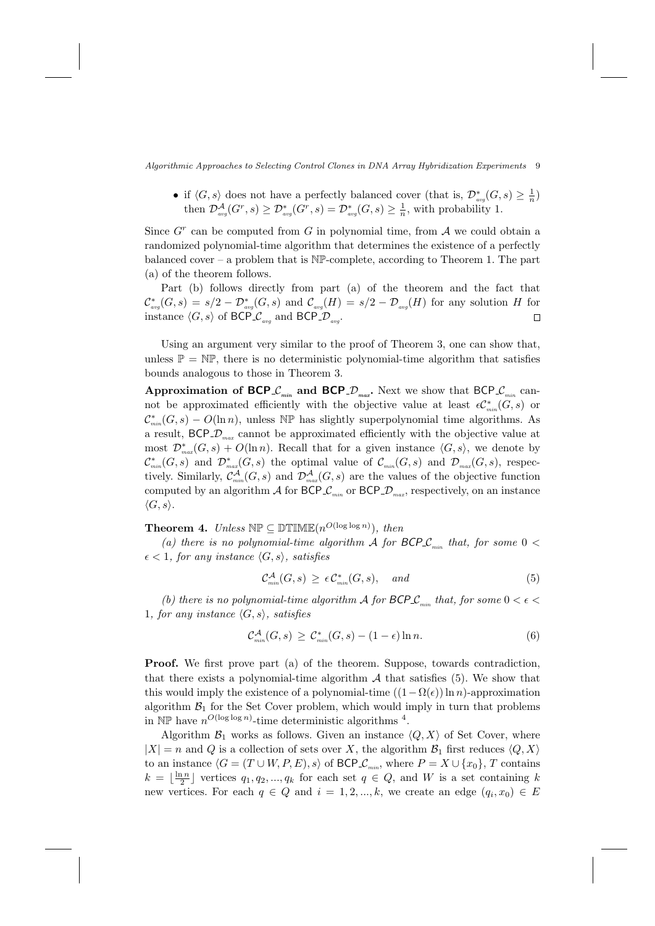• if  $\langle G, s \rangle$  does not have a perfectly balanced cover (that is,  $\mathcal{D}^*_{avg}(G, s) \geq \frac{1}{n}$ ) then  $\mathcal{D}^{\mathcal{A}}_{avg}(G^r, s) \geq \mathcal{D}^*_{avg}(G^r, s) = \mathcal{D}^*_{avg}(G, s) \geq \frac{1}{n}$ , with probability 1.

Since  $G<sup>r</sup>$  can be computed from G in polynomial time, from A we could obtain a randomized polynomial-time algorithm that determines the existence of a perfectly balanced cover – a problem that is  $N\mathbb{P}$ -complete, according to Theorem 1. The part (a) of the theorem follows.

Part (b) follows directly from part (a) of the theorem and the fact that  $\mathcal{C}_{\textit{avg}}^{*}(G, s) = s/2 - \mathcal{D}_{\textit{avg}}^{*}(G, s)$  and  $\mathcal{C}_{\textit{avg}}(H) = s/2 - \mathcal{D}_{\textit{avg}}(H)$  for any solution H for instance  $\langle G, s \rangle$  of BCP  $\mathcal{L}_{avg}$  and BCP  $\mathcal{D}_{avg}$ .  $\Box$ 

Using an argument very similar to the proof of Theorem 3, one can show that, unless  $\mathbb{P} = \mathbb{NP}$ , there is no deterministic polynomial-time algorithm that satisfies bounds analogous to those in Theorem 3.

Approximation of BCP  $\mathcal{L}_{mn}$  and BCP  $\mathcal{D}_{max}$ . Next we show that BCP  $\mathcal{L}_{mn}$  cannot be approximated efficiently with the objective value at least  $\epsilon C_{\min}^*(G, s)$  or  $\mathcal{C}^*_{\text{min}}(G, s) - O(\ln n)$ , unless NP has slightly superpolynomial time algorithms. As a result,  $BCP\_D_{max}$  cannot be approximated efficiently with the objective value at most  $\mathcal{D}^*_{\text{max}}(G,s) + O(\ln n)$ . Recall that for a given instance  $\langle G, s \rangle$ , we denote by  $\mathcal{C}_{min}^*(G,s)$  and  $\mathcal{D}_{max}^*(G,s)$  the optimal value of  $\mathcal{C}_{min}(G,s)$  and  $\mathcal{D}_{max}(G,s)$ , respectively. Similarly,  $\mathcal{C}_{mn}^{\mathcal{A}}(G,s)$  and  $\mathcal{D}_{max}^{\mathcal{A}}(G,s)$  are the values of the objective function computed by an algorithm  $\mathcal A$  for BCP  $\mathcal L_{\scriptscriptstyle min}$  or BCP  $\mathcal D_{\scriptscriptstyle max}$ , respectively, on an instance  $\langle G, s \rangle$ .

**Theorem 4.** Unless  $\mathbb{NP} \subseteq \mathbb{DTIME}(n^{O(\log \log n)})$ , then

(a) there is no polynomial-time algorithm A for  $BCP\mathcal{L}_{min}$  that, for some  $0 <$  $\epsilon$  < 1, for any instance  $\langle G, s \rangle$ , satisfies

$$
\mathcal{C}_{\min}^{\mathcal{A}}(G,s) \ge \epsilon \mathcal{C}_{\min}^{*}(G,s), \quad \text{and} \tag{5}
$$

(b) there is no polynomial-time algorithm A for BCP  $\mathcal{L}_{\text{min}}$  that, for some  $0 < \epsilon <$ 1, for any instance  $\langle G, s \rangle$ , satisfies

$$
\mathcal{C}^{\mathcal{A}}_{\min}(G,s) \geq \mathcal{C}^*_{\min}(G,s) - (1 - \epsilon) \ln n. \tag{6}
$$

Proof. We first prove part (a) of the theorem. Suppose, towards contradiction, that there exists a polynomial-time algorithm  $A$  that satisfies (5). We show that this would imply the existence of a polynomial-time  $((1 - \Omega(\epsilon)) \ln n)$ -approximation algorithm  $\mathcal{B}_1$  for the Set Cover problem, which would imply in turn that problems in  $\mathbb{NP}$  have  $n^{O(\log \log n)}$ -time deterministic algorithms <sup>4</sup>.

Algorithm  $\mathcal{B}_1$  works as follows. Given an instance  $\langle Q, X \rangle$  of Set Cover, where  $|X| = n$  and Q is a collection of sets over X, the algorithm  $\mathcal{B}_1$  first reduces  $\langle Q, X \rangle$ to an instance  $\langle G = (T \cup W, P, E), s \rangle$  of BCP  $\mathcal{L}_{min}$ , where  $P = X \cup \{x_0\}, T$  contains  $k = \lfloor \frac{\ln n}{2} \rfloor$  vertices  $q_1, q_2, ..., q_k$  for each set  $q \in Q$ , and W is a set containing k new vertices. For each  $q \in Q$  and  $i = 1, 2, ..., k$ , we create an edge  $(q_i, x_0) \in E$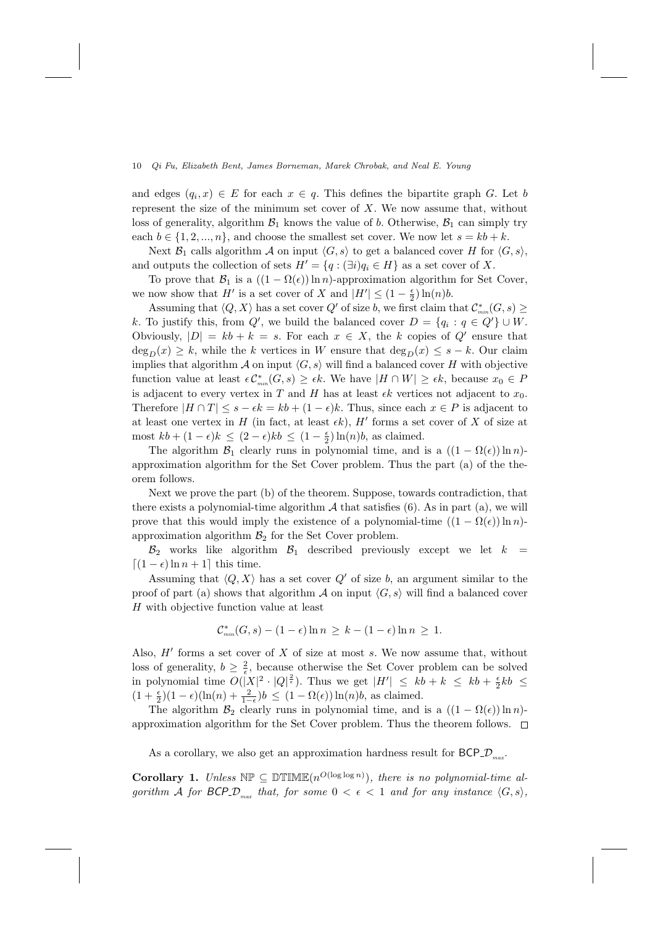and edges  $(q_i, x) \in E$  for each  $x \in q$ . This defines the bipartite graph G. Let b represent the size of the minimum set cover of  $X$ . We now assume that, without loss of generality, algorithm  $\mathcal{B}_1$  knows the value of b. Otherwise,  $\mathcal{B}_1$  can simply try each  $b \in \{1, 2, ..., n\}$ , and choose the smallest set cover. We now let  $s = kb + k$ .

Next  $\mathcal{B}_1$  calls algorithm A on input  $\langle G, s \rangle$  to get a balanced cover H for  $\langle G, s \rangle$ , and outputs the collection of sets  $H' = \{q : (\exists i)q_i \in H\}$  as a set cover of X.

To prove that  $\mathcal{B}_1$  is a  $((1 - \Omega(\epsilon)) \ln n)$ -approximation algorithm for Set Cover, we now show that  $H'$  is a set cover of X and  $|H'| \leq (1 - \frac{\epsilon}{2}) \ln(n) b$ .

Assuming that  $\langle Q, X \rangle$  has a set cover  $Q'$  of size b, we first claim that  $\mathcal{C}^*_{\min}(G, s) \geq$ k. To justify this, from  $Q'$ , we build the balanced cover  $D = \{q_i : q \in Q'\} \cup W$ . Obviously,  $|D| = kb + k = s$ . For each  $x \in X$ , the k copies of  $Q'$  ensure that  $\deg_D(x) \geq k$ , while the k vertices in W ensure that  $\deg_D(x) \leq s - k$ . Our claim implies that algorithm A on input  $\langle G, s \rangle$  will find a balanced cover H with objective function value at least  $\epsilon C_{\min}^*(G, s) \geq \epsilon k$ . We have  $|H \cap W| \geq \epsilon k$ , because  $x_0 \in P$ is adjacent to every vertex in T and H has at least  $\epsilon k$  vertices not adjacent to  $x_0$ . Therefore  $|H \cap T| \leq s - \epsilon k = kb + (1 - \epsilon)k$ . Thus, since each  $x \in P$  is adjacent to at least one vertex in H (in fact, at least  $\epsilon k$ ), H' forms a set cover of X of size at most  $kb + (1 - \epsilon)k \leq (2 - \epsilon)kb \leq (1 - \frac{\epsilon}{2})\ln(n)b$ , as claimed.

The algorithm  $\mathcal{B}_1$  clearly runs in polynomial time, and is a  $((1 - \Omega(\epsilon)) \ln n)$ approximation algorithm for the Set Cover problem. Thus the part (a) of the theorem follows.

Next we prove the part (b) of the theorem. Suppose, towards contradiction, that there exists a polynomial-time algorithm  $A$  that satisfies (6). As in part (a), we will prove that this would imply the existence of a polynomial-time  $((1 - \Omega(\epsilon)) \ln n)$ approximation algorithm  $\mathcal{B}_2$  for the Set Cover problem.

 $B_2$  works like algorithm  $B_1$  described previously except we let  $k =$  $[(1 - \epsilon) \ln n + 1]$  this time.

Assuming that  $\langle Q, X \rangle$  has a set cover  $Q'$  of size b, an argument similar to the proof of part (a) shows that algorithm  $\mathcal A$  on input  $\langle G, s \rangle$  will find a balanced cover H with objective function value at least

$$
\mathcal{C}_{\min}^*(G,s) - (1 - \epsilon) \ln n \geq k - (1 - \epsilon) \ln n \geq 1.
$$

Also,  $H'$  forms a set cover of  $X$  of size at most  $s$ . We now assume that, without loss of generality,  $b \geq \frac{2}{\epsilon}$ , because otherwise the Set Cover problem can be solved in polynomial time  $O(|X|^2 \cdot |Q|^{\frac{2}{\epsilon}})$ . Thus we get  $|H'| \le kb + k \le kb + \frac{\epsilon}{2}kb \le$  $(1 + \frac{\epsilon}{2})(1 - \epsilon)(\ln(n) + \frac{2}{1-\epsilon})b \leq (1 - \Omega(\epsilon))\ln(n)b$ , as claimed.

The algorithm  $\mathcal{B}_2$  clearly runs in polynomial time, and is a  $((1 - \Omega(\epsilon)) \ln n)$ approximation algorithm for the Set Cover problem. Thus the theorem follows.  $\Box$ 

As a corollary, we also get an approximation hardness result for BCP<sub>-</sub> $\mathcal{D}_{\scriptscriptstyle max}$ .

**Corollary 1.** Unless  $\mathbb{NP} \subseteq \mathbb{DTIME}(n^{O(\log \log n)})$ , there is no polynomial-time algorithm A for BCP- $\mathcal{D}_{max}$  that, for some  $0 < \epsilon < 1$  and for any instance  $\langle G, s \rangle$ ,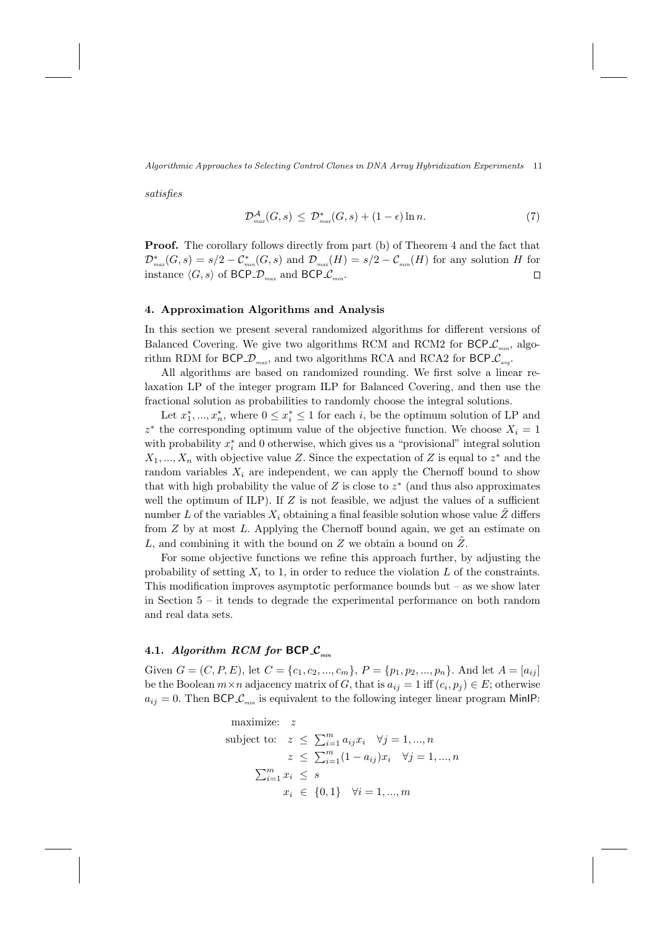satisfies

$$
\mathcal{D}_{\max}^{\mathcal{A}}(G,s) \leq \mathcal{D}_{\max}^*(G,s) + (1-\epsilon)\ln n. \tag{7}
$$

Proof. The corollary follows directly from part (b) of Theorem 4 and the fact that  $\mathcal{D}^*_{max}(G,s) = s/2 - \mathcal{C}^*_{min}(G,s)$  and  $\mathcal{D}_{max}(H) = s/2 - \mathcal{C}_{min}(H)$  for any solution H for instance  $\langle G, s \rangle$  of BCP  $\mathcal{D}_{max}$  and BCP  $\mathcal{L}_{min}$ .  $\Box$ 

## 4. Approximation Algorithms and Analysis

In this section we present several randomized algorithms for different versions of Balanced Covering. We give two algorithms RCM and RCM2 for  $BCP_{min}$ , algorithm RDM for BCP<sub>- $\mathcal{D}_{max}$ </sub>, and two algorithms RCA and RCA2 for BCP<sub>- $\mathcal{C}_{avg}$ </sub>.

All algorithms are based on randomized rounding. We first solve a linear relaxation LP of the integer program ILP for Balanced Covering, and then use the fractional solution as probabilities to randomly choose the integral solutions.

Let  $x_1^*,...,x_n^*$ , where  $0 \le x_i^* \le 1$  for each *i*, be the optimum solution of LP and  $z^*$  the corresponding optimum value of the objective function. We choose  $X_i = 1$ with probability  $x_i^*$  and 0 otherwise, which gives us a "provisional" integral solution  $X_1, \ldots, X_n$  with objective value Z. Since the expectation of Z is equal to  $z^*$  and the random variables  $X_i$  are independent, we can apply the Chernoff bound to show that with high probability the value of  $Z$  is close to  $z^*$  (and thus also approximates well the optimum of ILP). If  $Z$  is not feasible, we adjust the values of a sufficient number L of the variables  $X_i$  obtaining a final feasible solution whose value Z differs from  $Z$  by at most  $L$ . Applying the Chernoff bound again, we get an estimate on L, and combining it with the bound on Z we obtain a bound on  $\tilde{Z}$ .

For some objective functions we refine this approach further, by adjusting the probability of setting  $X_i$  to 1, in order to reduce the violation  $L$  of the constraints. This modification improves asymptotic performance bounds but  $-$  as we show later in Section 5 – it tends to degrade the experimental performance on both random and real data sets.

## 4.1. Algorithm RCM for BCP  $\mathcal{C}_{min}$

Given  $G = (C, P, E)$ , let  $C = \{c_1, c_2, ..., c_m\}$ ,  $P = \{p_1, p_2, ..., p_n\}$ . And let  $A = [a_{ij}]$ be the Boolean  $m \times n$  adjacency matrix of G, that is  $a_{ij} = 1$  iff  $(c_i, p_j) \in E$ ; otherwise  $a_{ij} = 0$ . Then BCP  $\mathcal{L}_{min}$  is equivalent to the following integer linear program MinIP:

maximize: 
$$
z
$$
  
\nsubject to:  $z \le \sum_{i=1}^{m} a_{ij} x_i \quad \forall j = 1, ..., n$   
\n $z \le \sum_{i=1}^{m} (1 - a_{ij}) x_i \quad \forall j = 1, ..., n$   
\n $\sum_{i=1}^{m} x_i \le s$   
\n $x_i \in \{0, 1\} \quad \forall i = 1, ..., m$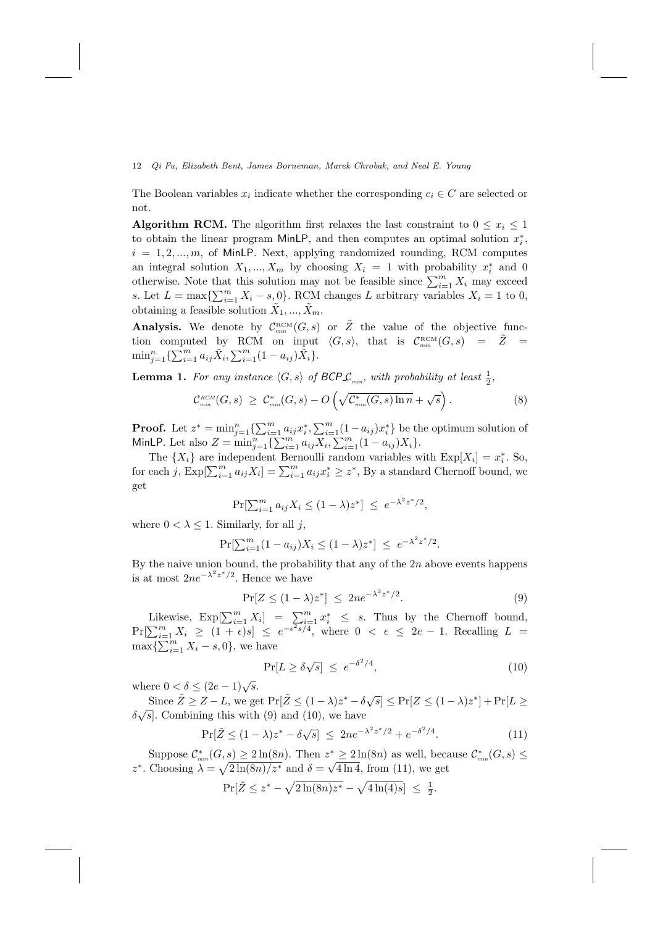The Boolean variables  $x_i$  indicate whether the corresponding  $c_i \in C$  are selected or not.

**Algorithm RCM.** The algorithm first relaxes the last constraint to  $0 \leq x_i \leq 1$ to obtain the linear program MinLP, and then computes an optimal solution  $x_i^*$ ,  $i = 1, 2, \dots, m$ , of MinLP. Next, applying randomized rounding, RCM computes an integral solution  $X_1, ..., X_m$  by choosing  $X_i = 1$  with probability  $x_i^*$  and 0 otherwise. Note that this solution may not be feasible since  $\sum_{i=1}^{m} X_i$  may exceed s. Let  $L = \max\{\sum_{i=1}^{m} X_i - s, 0\}$ . RCM changes L arbitrary variables  $X_i = 1$  to 0, obtaining a feasible solution  $\tilde{X}_1, ..., \tilde{X}_m$ .

Analysis. We denote by  $\mathcal{C}_{min}^{RCM}(G,s)$  or  $\tilde{Z}$  the value of the objective function computed by RCM on input  $\langle G, s \rangle$ , that is  $C_{min}^{RCM}(G, s) = \tilde{Z}$  $\min_{j=1}^{n} \{ \sum_{i=1}^{m} a_{ij} \tilde{X}_i, \sum_{i=1}^{m} (1 - a_{ij}) \tilde{X}_i \}.$ 

**Lemma 1.** For any instance  $\langle G, s \rangle$  of  $\text{BCP}_{\mathcal{L}_{min}}$ , with probability at least  $\frac{1}{2}$ ,

$$
\mathcal{C}_{\min}^{RCM}(G,s) \geq \mathcal{C}_{\min}^*(G,s) - O\left(\sqrt{\mathcal{C}_{\min}^*(G,s)\ln n} + \sqrt{s}\right). \tag{8}
$$

**Proof.** Let  $z^* = \min_{j=1}^n \{\sum_{i=1}^m a_{ij} x_i^*, \sum_{i=1}^m (1 - a_{ij}) x_i^*\}$  be the optimum solution of MinLP. Let also  $Z = \min_{j=1}^{n} \{ \sum_{i=1}^{m} a_{ij} X_i, \sum_{i=1}^{m} (1 - a_{ij}) X_i \}.$ 

The  $\{X_i\}$  are independent Bernoulli random variables with  $\text{Exp}[X_i] = x_i^*$ . So, for each j,  $\text{Exp}[\sum_{i=1}^m a_{ij}X_i] = \sum_{i=1}^m a_{ij}x_i^* \geq z^*$ , By a standard Chernoff bound, we get

$$
\Pr[\sum_{i=1}^{m} a_{ij} X_i \le (1 - \lambda) z^*] \le e^{-\lambda^2 z^* / 2},
$$

where  $0 < \lambda \leq 1$ . Similarly, for all j,

$$
\Pr[\sum_{i=1}^{m} (1 - a_{ij}) X_i \le (1 - \lambda) z^*] \le e^{-\lambda^2 z^* / 2}.
$$

By the naive union bound, the probability that any of the  $2n$  above events happens is at most  $2ne^{-\lambda^2z^*/2}$ . Hence we have

$$
\Pr[Z \le (1 - \lambda)z^*] \le 2ne^{-\lambda^2 z^*/2}.
$$
\n(9)

Likewise,  $Exp[\sum_{i=1}^m X_i] = \sum_{i=1}^m x_i^* \leq s$ . Thus by the Chernoff bound,  $Pr[\sum_{i=1}^{m} X_i \geq (1+\epsilon)s] \leq e^{-\epsilon^2 s/4}$ , where  $0 < \epsilon \leq 2e-1$ . Recalling  $L =$  $\max{\sum_{i=1}^{m} X_i - s, 0}$ , we have

$$
\Pr[L \ge \delta \sqrt{s}] \le e^{-\delta^2/4},\tag{10}
$$

where  $0 < \delta \leq (2e-1)\sqrt{s}$ .

Since  $\tilde{Z} \geq Z - L$ , we get  $\Pr[\tilde{Z} \leq (1 - \lambda)z^* - \delta\sqrt{s}] \leq \Pr[Z \leq (1 - \lambda)z^*] + \Pr[L \geq$ Since  $Z \leq Z - L$ , we get  $\Gamma_1 | Z \leq (1 - \lambda)z = 0$ <br> $\delta \sqrt{s}$ . Combining this with (9) and (10), we have

$$
\Pr[\tilde{Z} \le (1 - \lambda)z^* - \delta\sqrt{s}] \le 2n e^{-\lambda^2 z^* / 2} + e^{-\delta^2 / 4}.
$$
 (11)

Suppose  $\mathcal{C}^*_{\min}(G,s) \geq 2\ln(8n)$ . Then  $z^* \geq 2\ln(8n)$  as well, because  $\mathcal{C}^*_{\min}(G,s) \leq$ z<sup>\*</sup>. Choosing  $\lambda = \sqrt{2 \ln(8n)/z^*}$  and  $\delta = \sqrt{4 \ln 4}$ , from (11), we get

$$
\Pr[\tilde{Z} \leq z^* - \sqrt{2\ln(8n)z^*} - \sqrt{4\ln(4)s}] \leq \frac{1}{2}.
$$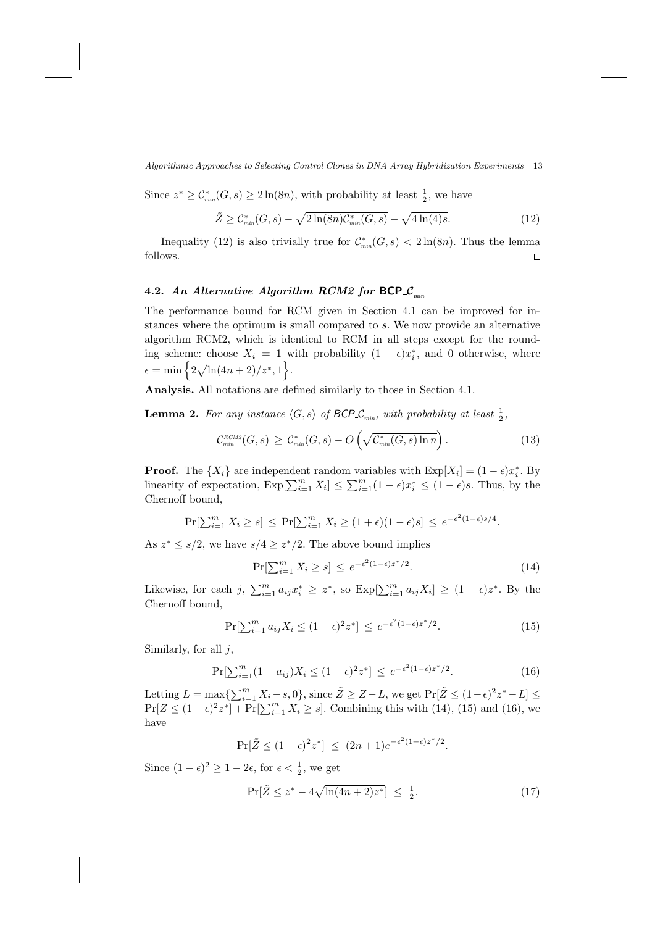Since  $z^* \geq \mathcal{C}^*_{\min}(G, s) \geq 2\ln(8n)$ , with probability at least  $\frac{1}{2}$ , we have

$$
\tilde{Z} \geq C_{\min}^*(G, s) - \sqrt{2\ln(8n)C_{\min}^*(G, s)} - \sqrt{4\ln(4)s}.\tag{12}
$$

Inequality (12) is also trivially true for  $\mathcal{C}^*_{\text{min}}(G, s) < 2\ln(8n)$ . Thus the lemma follows.  $\Box$ 

# 4.2. An Alternative Algorithm RCM2 for BCP\_ $\mathcal{C}_{min}$

The performance bound for RCM given in Section 4.1 can be improved for instances where the optimum is small compared to s. We now provide an alternative algorithm RCM2, which is identical to RCM in all steps except for the rounding scheme: choose  $X_i = 1$  with probability  $(1 - \epsilon)x_i^*$ , and 0 otherwise, where  $\epsilon = \min \left\{ 2 \sqrt{\ln(4n+2)/z^*}, 1 \right\}.$ 

Analysis. All notations are defined similarly to those in Section 4.1.

**Lemma 2.** For any instance  $\langle G, s \rangle$  of  $\text{BCP}_{\mathcal{L}_{min}}$ , with probability at least  $\frac{1}{2}$ ,

$$
\mathcal{C}^{\text{\tiny RCM2}}_{\min}(G,s) \geq \mathcal{C}^*_{\min}(G,s) - O\left(\sqrt{\mathcal{C}^*_{\min}(G,s)\ln n}\right). \tag{13}
$$

**Proof.** The  $\{X_i\}$  are independent random variables with  $\text{Exp}[X_i] = (1 - \epsilon)x_i^*$ . By linearity of expectation,  $\text{Exp}[\sum_{i=1}^{m} X_i] \leq \sum_{i=1}^{m} (1 - \epsilon) x_i^* \leq (1 - \epsilon)s$ . Thus, by the Chernoff bound,

$$
\Pr[\sum_{i=1}^m X_i \ge s] \le \Pr[\sum_{i=1}^m X_i \ge (1+\epsilon)(1-\epsilon)s] \le e^{-\epsilon^2(1-\epsilon)s/4}.
$$

As  $z^* \leq s/2$ , we have  $s/4 \geq z^*/2$ . The above bound implies

$$
\Pr[\sum_{i=1}^{m} X_i \ge s] \le e^{-\epsilon^2 (1-\epsilon)z^*/2}.\tag{14}
$$

Likewise, for each j,  $\sum_{i=1}^{m} a_{ij} x_i^* \geq z^*$ , so  $\text{Exp}[\sum_{i=1}^{m} a_{ij} X_i] \geq (1 - \epsilon)z^*$ . By the Chernoff bound,

$$
\Pr[\sum_{i=1}^{m} a_{ij} X_i \le (1 - \epsilon)^2 z^*] \le e^{-\epsilon^2 (1 - \epsilon) z^* / 2}.
$$
 (15)

Similarly, for all  $j$ ,

$$
\Pr[\sum_{i=1}^{m} (1 - a_{ij}) X_i \le (1 - \epsilon)^2 z^*] \le e^{-\epsilon^2 (1 - \epsilon) z^* / 2}.
$$
 (16)

Letting  $L = \max\{\sum_{i=1}^{m} X_i - s, 0\}$ , since  $\tilde{Z} \ge Z - L$ , we get  $\Pr[\tilde{Z} \le (1 - \epsilon)^2 z^* - L] \le$  $Pr[Z \leq (1-\epsilon)^2 z^*] + Pr[\sum_{i=1}^m X_i \geq s]$ . Combining this with (14), (15) and (16), we have

$$
\Pr[\tilde{Z} \le (1 - \epsilon)^2 z^*] \le (2n + 1)e^{-\epsilon^2(1 - \epsilon)z^*/2}.
$$

Since  $(1 - \epsilon)^2 \ge 1 - 2\epsilon$ , for  $\epsilon < \frac{1}{2}$ , we get

$$
\Pr[\tilde{Z} \le z^* - 4\sqrt{\ln(4n+2)z^*}] \le \frac{1}{2}.\tag{17}
$$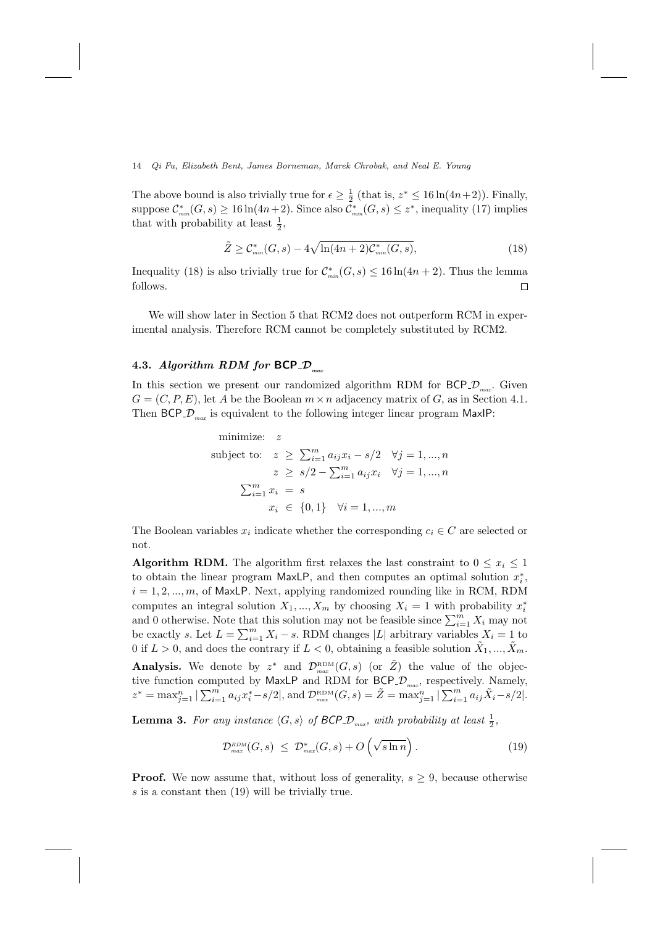The above bound is also trivially true for  $\epsilon \geq \frac{1}{2}$  (that is,  $z^* \leq 16 \ln(4n+2)$ ). Finally, suppose  $\mathcal{C}^*_{\scriptscriptstyle min}(G,s) \ge 16 \ln(4n+2)$ . Since also  $\mathcal{C}^*_{\scriptscriptstyle min}(G,s) \le z^*$ , inequality (17) implies that with probability at least  $\frac{1}{2}$ ,

$$
\tilde{Z} \geq C_{\min}^*(G, s) - 4\sqrt{\ln(4n+2)C_{\min}^*(G, s)},
$$
\n(18)

Inequality (18) is also trivially true for  $\mathcal{C}_{mn}^*(G, s) \leq 16 \ln(4n + 2)$ . Thus the lemma follows.  $\Box$ 

We will show later in Section 5 that RCM2 does not outperform RCM in experimental analysis. Therefore RCM cannot be completely substituted by RCM2.

## 4.3. Algorithm RDM for  $BCP\_D_{max}$

In this section we present our randomized algorithm RDM for  $BCP\_D_{max}$ . Given  $G = (C, P, E)$ , let A be the Boolean  $m \times n$  adjacency matrix of G, as in Section 4.1. Then BCP<sub>-</sub> $\mathcal{D}_{max}$  is equivalent to the following integer linear program MaxIP:

minimize: 
$$
z
$$
  
\nsubject to:  $z \ge \sum_{i=1}^{m} a_{ij}x_i - s/2 \quad \forall j = 1, ..., n$   
\n $z \ge s/2 - \sum_{i=1}^{m} a_{ij}x_i \quad \forall j = 1, ..., n$   
\n $\sum_{i=1}^{m} x_i = s$   
\n $x_i \in \{0, 1\} \quad \forall i = 1, ..., m$ 

The Boolean variables  $x_i$  indicate whether the corresponding  $c_i \in C$  are selected or not.

**Algorithm RDM.** The algorithm first relaxes the last constraint to  $0 \leq x_i \leq 1$ to obtain the linear program MaxLP, and then computes an optimal solution  $x_i^*$ ,  $i = 1, 2, \ldots, m$ , of MaxLP. Next, applying randomized rounding like in RCM, RDM computes an integral solution  $X_1, ..., X_m$  by choosing  $X_i = 1$  with probability  $x_i^*$ and 0 otherwise. Note that this solution may not be feasible since  $\sum_{i=1}^{m} X_i$  may not be exactly s. Let  $L = \sum_{i=1}^{m} X_i - s$ . RDM changes |L| arbitrary variables  $X_i = 1$  to 0 if  $L > 0$ , and does the contrary if  $L < 0$ , obtaining a feasible solution  $\tilde{X}_1, ..., \tilde{X}_m$ . Analysis. We denote by  $z^*$  and  $\mathcal{D}_{max}^{RDM}(G, s)$  (or  $\tilde{Z}$ ) the value of the objective function computed by MaxLP and RDM for  $BCP\_D_{max}$ , respectively. Namely,  $z^* = \max_{j=1}^n |\sum_{i=1}^m a_{ij}x_i^* - s/2|$ , and  $\mathcal{D}_{\max}^{\text{RDM}}(G, s) = \tilde{Z} = \max_{j=1}^n |\sum_{i=1}^m a_{ij}\tilde{X}_i - s/2|$ .

**Lemma 3.** For any instance  $\langle G, s \rangle$  of  $\text{BCP\_D}_{max}$ , with probability at least  $\frac{1}{2}$ ,

$$
\mathcal{D}_{\scriptscriptstyle max}^{\scriptscriptstyle RDM}(G,s) \ \leq \ \mathcal{D}_{\scriptscriptstyle max}^*(G,s) + O\left(\sqrt{s \ln n}\right). \tag{19}
$$

**Proof.** We now assume that, without loss of generality,  $s > 9$ , because otherwise s is a constant then (19) will be trivially true.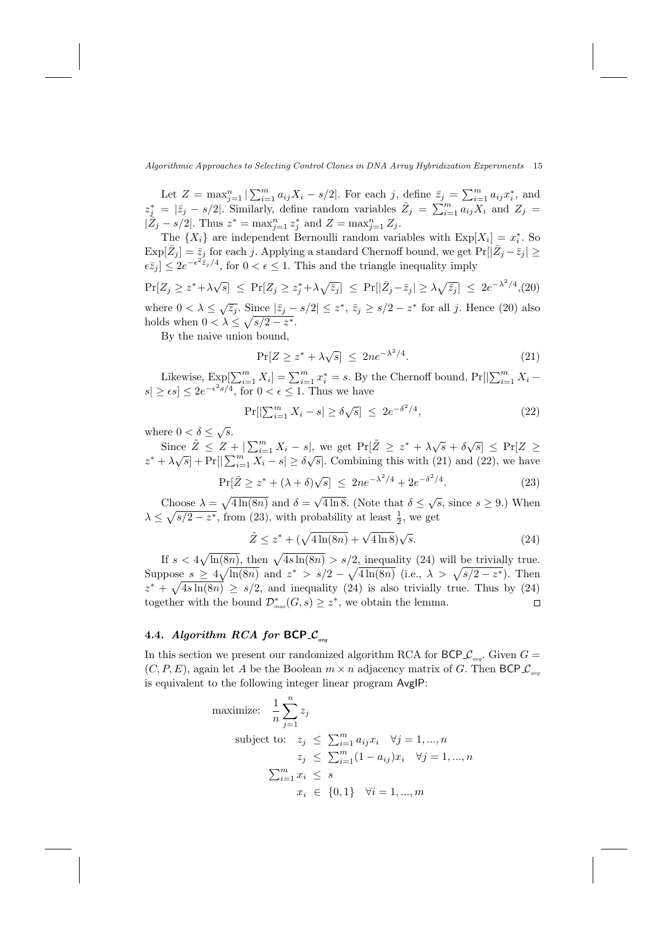Let  $Z = \max_{j=1}^{n} |\sum_{i=1}^{m} a_{ij}X_i - s/2|$ . For each j, define  $\bar{z}_j = \sum_{i=1}^{m} a_{ij}x_i^*$ , and  $z_j^* = |\bar{z}_j - s/2|$ . Similarly, define random variables  $\bar{Z}_j = \sum_{i=1}^m a_{ij} X_i$  and  $Z_j =$  $|\bar{Z}_j - s/2|$ . Thus  $z^* = \max_{j=1}^n z_j^*$  and  $Z = \max_{j=1}^n Z_j$ .

The  $\{X_i\}$  are independent Bernoulli random variables with  $\text{Exp}[X_i] = x_i^*$ . So  $\exp[\bar{Z}_j] = \bar{z}_j$  for each j. Applying a standard Chernoff bound, we get  $\Pr[|\bar{Z}_j - \bar{z}_j| \geq$  $\epsilon \bar{z}_j$   $\leq 2e^{-\epsilon^2 \bar{z}_j/4}$ , for  $0 < \epsilon \leq 1$ . This and the triangle inequality imply

 $\Pr[Z_j \geq z^* + \lambda \sqrt{s}] \leq \Pr[Z_j \geq z_j^* + \lambda \sqrt{\bar{z}_j}] \leq \Pr[|\bar{Z}_j - \bar{z}_j| \geq \lambda \sqrt{\bar{z}_j}] \leq 2e^{-\lambda^2/4}$ where  $0 < \lambda \leq \sqrt{\bar{z}_j}$ . Since  $|\bar{z}_j - s/2| \leq z^*$ ,  $\bar{z}_j \geq s/2 - z^*$  for all j. Hence (20) also holds when  $0 < \lambda \leq \sqrt{s/2 - z^*}$ .

By the naive union bound,

$$
\Pr[Z \ge z^* + \lambda \sqrt{s}] \le 2n e^{-\lambda^2/4}.
$$
 (21)

Likewise,  $\text{Exp}[\sum_{i=1}^{m} X_i] = \sum_{i=1}^{m} x_i^* = s$ . By the Chernoff bound,  $\text{Pr}[\sum_{i=1}^{m} X_i |s| \ge \epsilon s \le 2e^{-\epsilon^2 s/4}$ , for  $0 < \epsilon \le 1$ . Thus we have

$$
\Pr[|\sum_{i=1}^{m} X_i - s| \ge \delta \sqrt{s}] \le 2e^{-\delta^2/4}, \tag{22}
$$

where  $0 < \delta \leq \sqrt{s}$ .

Since  $\tilde{Z} \leq Z + |\sum_{i=1}^{m} X_i - s|$ , we get  $\Pr[\tilde{Z} \geq z^* + \lambda \sqrt{s} + \delta \sqrt{s}] \leq \Pr[Z \geq$  $z^* + \lambda \sqrt{s}$  + Pr[ $\sum_{i=1}^m X_i - s$ ]  $\ge \delta \sqrt{s}$ . Combining this with (21) and (22), we have

$$
\Pr[\tilde{Z} \ge z^* + (\lambda + \delta)\sqrt{s}] \le 2ne^{-\lambda^2/4} + 2e^{-\delta^2/4}.\tag{23}
$$

Choose  $\lambda = \sqrt{4 \ln(8n)}$  and  $\delta =$  $\overline{4 \ln 8}$ . (Note that  $\delta \leq \sqrt{s}$ , since  $s \geq 9$ .) When  $\lambda \leq \sqrt{s/2 - z^*}$ , from (23), with probability at least  $\frac{1}{2}$ , we get

$$
\tilde{Z} \le z^* + (\sqrt{4\ln(8n)} + \sqrt{4\ln 8})\sqrt{s}.\tag{24}
$$

If  $s < 4\sqrt{\ln(8n)}$ , then  $\sqrt{4s\ln(8n)} > s/2$ , inequality (24) will be trivially true. Suppose  $s \geq 4\sqrt{\ln(8n)}$  and  $z^* > s/2 - \sqrt{4\ln(8n)}$  (i.e.,  $\lambda > \sqrt{s/2 - z^*}$ ). Then  $z^* + \sqrt{4s \ln(8n)} \geq s/2$ , and inequality (24) is also trivially true. Thus by (24) together with the bound  $\mathcal{D}^*_{\text{max}}(G, s) \geq z^*$ , we obtain the lemma.  $\Box$ 

## 4.4. Algorithm RCA for  $BCP\_{\infty}$

In this section we present our randomized algorithm RCA for BCP  $\mathcal{L}_{\mathit{avg}}$ . Given  $G =$  $(C, P, E)$ , again let A be the Boolean  $m \times n$  adjacency matrix of G. Then BCP  $\mathcal{L}_{\text{area}}$ is equivalent to the following integer linear program AvgIP:

maximize: 
$$
\frac{1}{n} \sum_{j=1}^{n} z_j
$$
  
\nsubject to: 
$$
z_j \le \sum_{i=1}^{m} a_{ij} x_i \quad \forall j = 1, ..., n
$$
  
\n
$$
z_j \le \sum_{i=1}^{m} (1 - a_{ij}) x_i \quad \forall j = 1, ..., n
$$
  
\n
$$
\sum_{i=1}^{m} x_i \le s
$$
  
\n
$$
x_i \in \{0, 1\} \quad \forall i = 1, ..., m
$$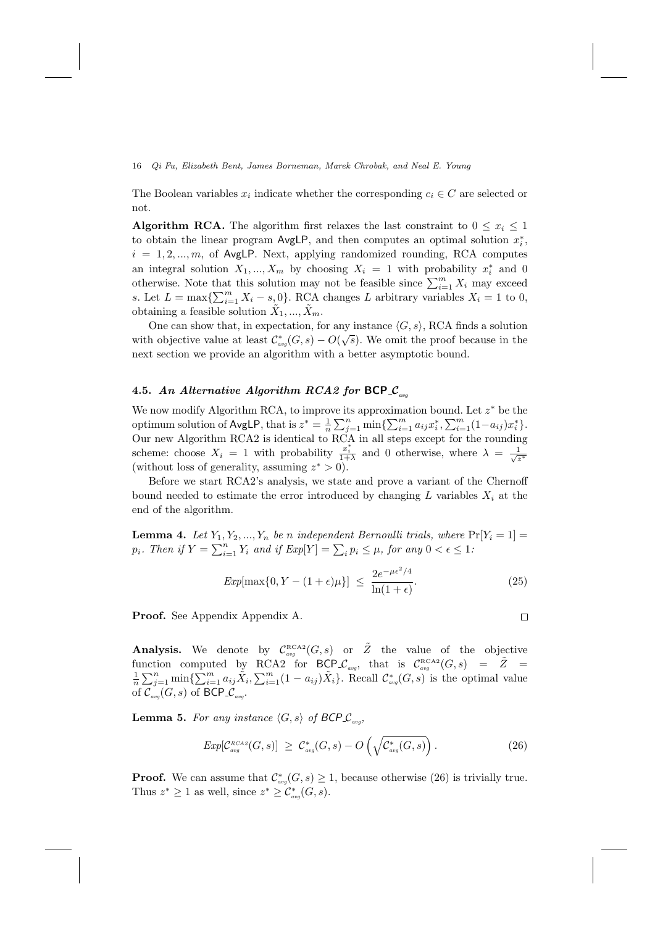The Boolean variables  $x_i$  indicate whether the corresponding  $c_i \in C$  are selected or not.

**Algorithm RCA.** The algorithm first relaxes the last constraint to  $0 \leq x_i \leq 1$ to obtain the linear program  $\mathsf{AvgLP}$ , and then computes an optimal solution  $x_i^*$ ,  $i = 1, 2, ..., m$ , of AvgLP. Next, applying randomized rounding, RCA computes an integral solution  $X_1, ..., X_m$  by choosing  $X_i = 1$  with probability  $x_i^*$  and 0 otherwise. Note that this solution may not be feasible since  $\sum_{i=1}^{m} X_i$  may exceed s. Let  $L = \max\{\sum_{i=1}^{m} X_i - s_0\}$ . RCA changes L arbitrary variables  $X_i = 1$  to 0, obtaining a feasible solution  $\tilde{X}_1, ..., \tilde{X}_m$ .

One can show that, in expectation, for any instance  $\langle G, s \rangle$ , RCA finds a solution with objective value at least  $\mathcal{C}^*_{avg}(G, s) - O(\sqrt{s})$ . We omit the proof because in the next section we provide an algorithm with a better asymptotic bound.

## 4.5. An Alternative Algorithm RCA2 for BCP  $\mathcal{L}_{av}$

We now modify Algorithm RCA, to improve its approximation bound. Let  $z^*$  be the optimum solution of AvgLP, that is  $z^* = \frac{1}{n} \sum_{j=1}^n \min\{\sum_{i=1}^m a_{ij}x_i^*, \sum_{i=1}^m (1-a_{ij})x_i^*\}.$ Our new Algorithm RCA2 is identical to RCA in all steps except for the rounding scheme: choose  $X_i = 1$  with probability  $\frac{x_i^*}{1+\lambda}$  and 0 otherwise, where  $\lambda = \frac{1}{\sqrt{\lambda}}$ z ∗ (without loss of generality, assuming  $z^* > 0$ ).

Before we start RCA2's analysis, we state and prove a variant of the Chernoff bound needed to estimate the error introduced by changing L variables  $X_i$  at the end of the algorithm.

**Lemma 4.** Let  $Y_1, Y_2, ..., Y_n$  be n independent Bernoulli trials, where  $Pr[Y_i = 1] =$  $p_i$ . Then if  $Y = \sum_{i=1}^n Y_i$  and if  $Exp[Y] = \sum_i p_i \leq \mu$ , for any  $0 < \epsilon \leq 1$ :

$$
Exp[\max\{0, Y - (1 + \epsilon)\mu\}] \le \frac{2e^{-\mu\epsilon^2/4}}{\ln(1 + \epsilon)}.
$$
\n(25)

 $\Box$ 

Proof. See Appendix Appendix A.

Analysis. We denote by  $\mathcal{C}^{\text{\tiny RCA2}}_{avg}(G,s)$  or  $\tilde{Z}$  the value of the objective function computed by RCA2 for BCP  $\mathcal{L}_{avg}$ , that is  $\mathcal{C}_{avg}^{\text{RCA2}}(G, s) = \tilde{Z}$  $\frac{1}{n}\sum_{j=1}^n \min\{\sum_{i=1}^m a_{ij}\tilde{X}_i,\sum_{i=1}^m (1-a_{ij})\tilde{X}_i\}.$  Recall  $\mathcal{C}_{\text{avg}}^*(G,s)$  is the optimal value of  $\mathcal{C}_{\tiny{avg}}(G, s)$  of BCP<sub>- $\mathcal{C}_{\tiny{avg}}$ </sub>.

**Lemma 5.** For any instance  $\langle G, s \rangle$  of  $\mathsf{BCP\mathcal{L}_{avg}}$ ,

$$
Exp[\mathcal{C}_{avg}^{RCAS2}(G,s)] \geq \mathcal{C}_{avg}^{*}(G,s) - O\left(\sqrt{\mathcal{C}_{avg}^{*}(G,s)}\right). \tag{26}
$$

**Proof.** We can assume that  $\mathcal{C}^*_{avg}(G, s) \geq 1$ , because otherwise (26) is trivially true. Thus  $z^* \geq 1$  as well, since  $z^* \geq C_{avg}^*(G, s)$ .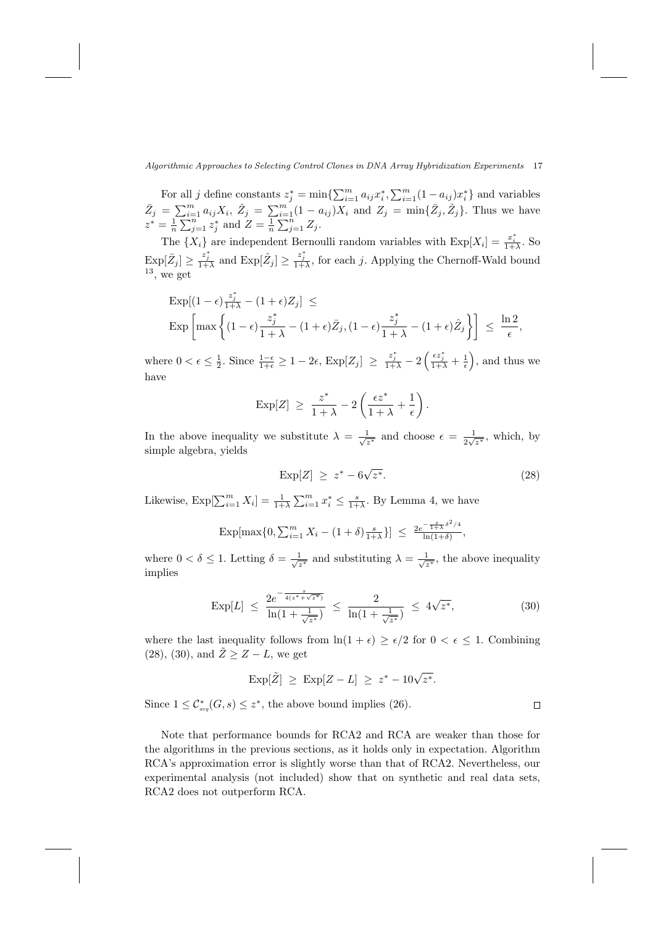For all j define constants  $z_j^* = \min\{\sum_{i=1}^m a_{ij}x_i^*, \sum_{i=1}^m (1 - a_{ij})x_i^*\}$  and variables  $\bar{Z}_j = \sum_{i=1}^m a_{ij} X_i, \ \hat{Z}_j = \sum_{i=1}^m (1 - a_{ij}) X_i$  and  $Z_j = \min\{\bar{Z}_j, \hat{Z}_j\}.$  Thus we have  $z^* = \frac{1}{n} \sum_{j=1}^n z_j^*$  and  $Z = \frac{1}{n} \sum_{j=1}^n Z_j$ .

The  $\{X_i\}$  are independent Bernoulli random variables with  $\text{Exp}[X_i] = \frac{x_i^*}{1+\lambda}$ . So  $\text{Exp}[\bar{Z}_j] \geq \frac{z_j^*}{1+\lambda}$  and  $\text{Exp}[\hat{Z}_j] \geq \frac{z_j^*}{1+\lambda}$ , for each j. Applying the Chernoff-Wald bound  $13$ , we get

$$
\begin{aligned} &\text{Exp}[(1-\epsilon)\frac{z_j^*}{1+\lambda}-(1+\epsilon)Z_j] \,\leq \\ &\text{Exp}\left[\max\left\{(1-\epsilon)\frac{z_j^*}{1+\lambda}-(1+\epsilon)\bar{Z}_j,(1-\epsilon)\frac{z_j^*}{1+\lambda}-(1+\epsilon)\hat{Z}_j\right\}\right] \,\leq\,\frac{\ln 2}{\epsilon}, \end{aligned}
$$

where  $0 < \epsilon \leq \frac{1}{2}$ . Since  $\frac{1-\epsilon}{1+\epsilon} \geq 1-2\epsilon$ ,  $\text{Exp}[Z_j] \geq \frac{z_j^*}{1+\lambda}-2\left(\frac{\epsilon z_j^*}{1+\lambda}+\frac{1}{\epsilon}\right)$ , and thus we have

$$
\exp[Z] \geq \frac{z^*}{1+\lambda} - 2\left(\frac{\epsilon z^*}{1+\lambda} + \frac{1}{\epsilon}\right).
$$

In the above inequality we substitute  $\lambda = \frac{1}{\sqrt{2}}$  $\frac{1}{z^*}$  and choose  $\epsilon = \frac{1}{2\sqrt{ }}$  $\frac{1}{2\sqrt{z^*}}$ , which, by simple algebra, yields

$$
\operatorname{Exp}[Z] \ge z^* - 6\sqrt{z^*}.\tag{28}
$$

Likewise,  $\text{Exp}[\sum_{i=1}^{m} X_i] = \frac{1}{1+\lambda} \sum_{i=1}^{m} x_i^* \leq \frac{s}{1+\lambda}$ . By Lemma 4, we have

$$
\exp[\max\{0, \sum_{i=1}^{m} X_i - (1+\delta)\frac{s}{1+\lambda}\}] \le \frac{2e^{-\frac{s}{1+\lambda}\delta^2/4}}{\ln(1+\delta)},
$$

where  $0 < \delta \leq 1$ . Letting  $\delta = \frac{1}{\sqrt{2}}$  $\frac{1}{z^*}$  and substituting  $\lambda = \frac{1}{\sqrt{z}}$  $\frac{1}{z^*}$ , the above inequality implies

$$
\text{Exp}[L] \ \leq \ \frac{2e^{-\frac{s}{4(z^* + \sqrt{z^*})}}}{\ln(1 + \frac{1}{\sqrt{z^*}})} \ \leq \ \frac{2}{\ln(1 + \frac{1}{\sqrt{z^*}})} \ \leq \ 4\sqrt{z^*},\tag{30}
$$

where the last inequality follows from  $\ln(1 + \epsilon) \geq \epsilon/2$  for  $0 < \epsilon \leq 1$ . Combining (28), (30), and  $\tilde{Z} \geq Z - L$ , we get

$$
Exp[\tilde{Z}] \geq Exp[Z - L] \geq z^* - 10\sqrt{z^*}.
$$

Since  $1 \leq C_{avg}^*(G, s) \leq z^*$ , the above bound implies (26).

Note that performance bounds for RCA2 and RCA are weaker than those for the algorithms in the previous sections, as it holds only in expectation. Algorithm RCA's approximation error is slightly worse than that of RCA2. Nevertheless, our experimental analysis (not included) show that on synthetic and real data sets, RCA2 does not outperform RCA.

 $\Box$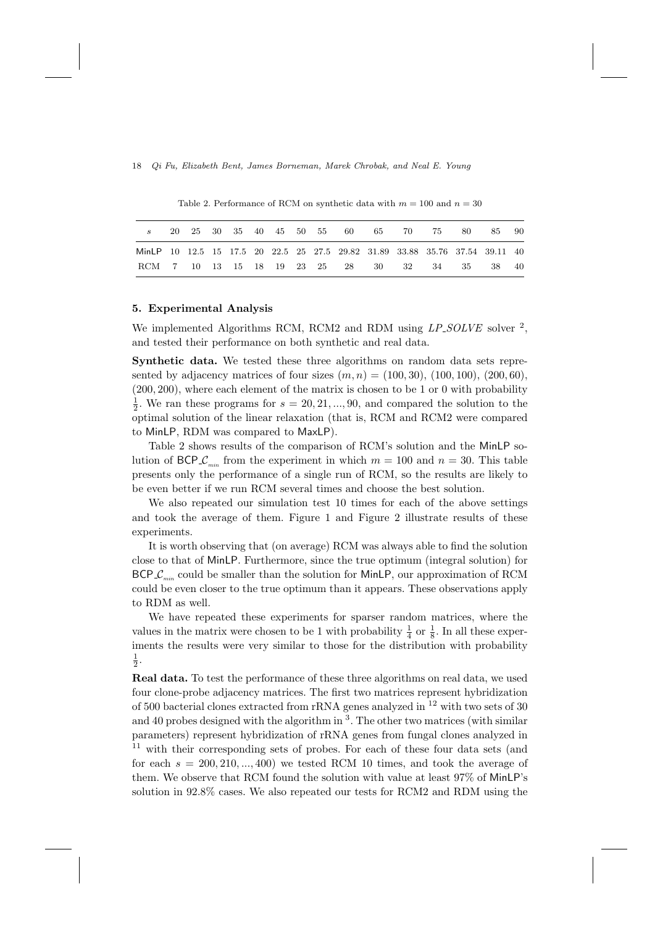Table 2. Performance of RCM on synthetic data with  $m = 100$  and  $n = 30$ 

|                                                                              |  |  |  |  |  | 20  25  30  35  40  45  50  55  60  65  70  75 | -80 - | -85   | - 90 |
|------------------------------------------------------------------------------|--|--|--|--|--|------------------------------------------------|-------|-------|------|
| MinLP 10 12.5 15 17.5 20 22.5 25 27.5 29.82 31.89 33.88 35.76 37.54 39.11 40 |  |  |  |  |  |                                                |       |       |      |
| RCM 7 10 13 15 18 19 23 25 28 30 32 34 35                                    |  |  |  |  |  |                                                |       | 38 40 |      |

### 5. Experimental Analysis

We implemented Algorithms RCM, RCM2 and RDM using  $LP\_SOLVE$  solver  $^2$ , and tested their performance on both synthetic and real data.

Synthetic data. We tested these three algorithms on random data sets represented by adjacency matrices of four sizes  $(m, n) = (100, 30), (100, 100), (200, 60),$ (200, 200), where each element of the matrix is chosen to be 1 or 0 with probability  $\frac{1}{2}$ . We ran these programs for  $s = 20, 21, ..., 90$ , and compared the solution to the optimal solution of the linear relaxation (that is, RCM and RCM2 were compared to MinLP, RDM was compared to MaxLP).

Table 2 shows results of the comparison of RCM's solution and the MinLP solution of BCP  $\mathcal{L}_{min}$  from the experiment in which  $m = 100$  and  $n = 30$ . This table presents only the performance of a single run of RCM, so the results are likely to be even better if we run RCM several times and choose the best solution.

We also repeated our simulation test 10 times for each of the above settings and took the average of them. Figure 1 and Figure 2 illustrate results of these experiments.

It is worth observing that (on average) RCM was always able to find the solution close to that of MinLP. Furthermore, since the true optimum (integral solution) for  $BCP.C<sub>min</sub>$  could be smaller than the solution for MinLP, our approximation of RCM could be even closer to the true optimum than it appears. These observations apply to RDM as well.

We have repeated these experiments for sparser random matrices, where the values in the matrix were chosen to be 1 with probability  $\frac{1}{4}$  or  $\frac{1}{8}$ . In all these experiments the results were very similar to those for the distribution with probability  $\frac{1}{2}$ .

Real data. To test the performance of these three algorithms on real data, we used four clone-probe adjacency matrices. The first two matrices represent hybridization of 500 bacterial clones extracted from rRNA genes analyzed in <sup>12</sup> with two sets of 30 and 40 probes designed with the algorithm in  $3$ . The other two matrices (with similar parameters) represent hybridization of rRNA genes from fungal clones analyzed in  $11$  with their corresponding sets of probes. For each of these four data sets (and for each  $s = 200, 210, \ldots, 400$  we tested RCM 10 times, and took the average of them. We observe that RCM found the solution with value at least 97% of MinLP's solution in 92.8% cases. We also repeated our tests for RCM2 and RDM using the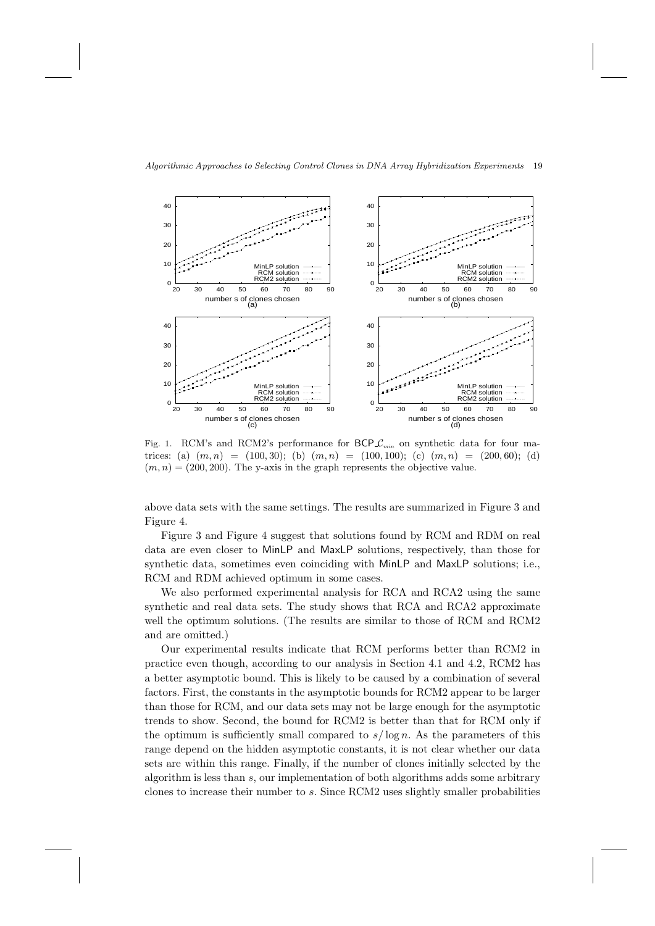



Fig. 1. RCM's and RCM2's performance for  $\mathsf{BCP}\mathcal{L}_{min}$  on synthetic data for four matrices: (a)  $(m, n) = (100, 30)$ ; (b)  $(m, n) = (100, 100)$ ; (c)  $(m, n) = (200, 60)$ ; (d)  $(m, n) = (200, 200)$ . The y-axis in the graph represents the objective value.

above data sets with the same settings. The results are summarized in Figure 3 and Figure 4.

Figure 3 and Figure 4 suggest that solutions found by RCM and RDM on real data are even closer to MinLP and MaxLP solutions, respectively, than those for synthetic data, sometimes even coinciding with MinLP and MaxLP solutions; i.e., RCM and RDM achieved optimum in some cases.

We also performed experimental analysis for RCA and RCA2 using the same synthetic and real data sets. The study shows that RCA and RCA2 approximate well the optimum solutions. (The results are similar to those of RCM and RCM2 and are omitted.)

Our experimental results indicate that RCM performs better than RCM2 in practice even though, according to our analysis in Section 4.1 and 4.2, RCM2 has a better asymptotic bound. This is likely to be caused by a combination of several factors. First, the constants in the asymptotic bounds for RCM2 appear to be larger than those for RCM, and our data sets may not be large enough for the asymptotic trends to show. Second, the bound for RCM2 is better than that for RCM only if the optimum is sufficiently small compared to  $s/\log n$ . As the parameters of this range depend on the hidden asymptotic constants, it is not clear whether our data sets are within this range. Finally, if the number of clones initially selected by the algorithm is less than s, our implementation of both algorithms adds some arbitrary clones to increase their number to s. Since RCM2 uses slightly smaller probabilities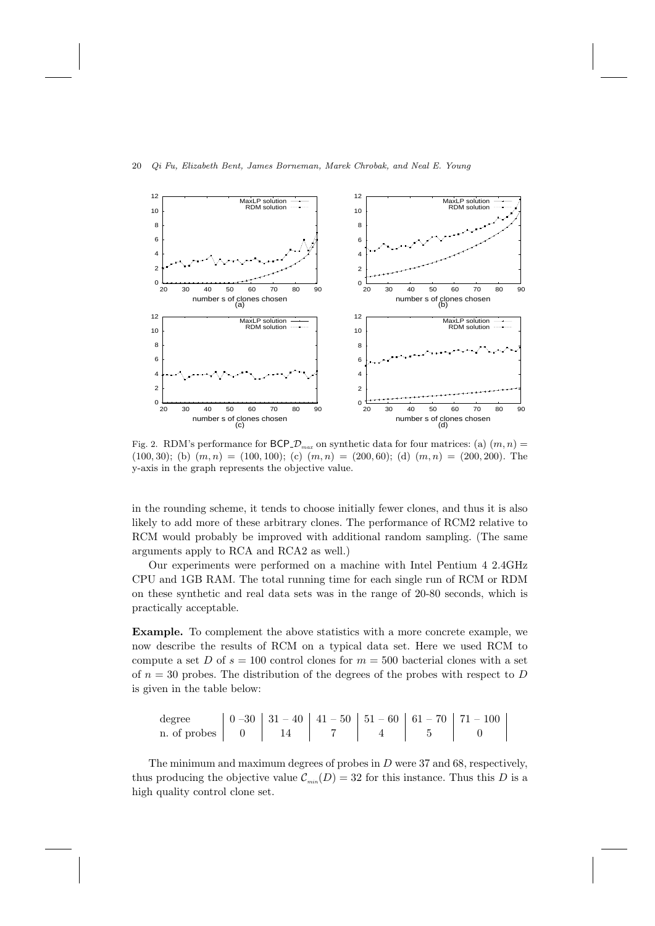

Fig. 2. RDM's performance for  $\mathsf{BCP} \mathcal{D}_{\mathit{max}}$  on synthetic data for four matrices: (a)  $(m, n)$  =  $(100, 30);$  (b)  $(m, n) = (100, 100);$  (c)  $(m, n) = (200, 60);$  (d)  $(m, n) = (200, 200).$  The y-axis in the graph represents the objective value.

in the rounding scheme, it tends to choose initially fewer clones, and thus it is also likely to add more of these arbitrary clones. The performance of RCM2 relative to RCM would probably be improved with additional random sampling. (The same arguments apply to RCA and RCA2 as well.)

Our experiments were performed on a machine with Intel Pentium 4 2.4GHz CPU and 1GB RAM. The total running time for each single run of RCM or RDM on these synthetic and real data sets was in the range of 20-80 seconds, which is practically acceptable.

Example. To complement the above statistics with a more concrete example, we now describe the results of RCM on a typical data set. Here we used RCM to compute a set D of  $s = 100$  control clones for  $m = 500$  bacterial clones with a set of  $n = 30$  probes. The distribution of the degrees of the probes with respect to D is given in the table below:

degree 0 –30 31 – 40 41 – 50 51 – 60 61 – 70 71 – 100 n. of probes 0 14 7 4 5 0

The minimum and maximum degrees of probes in  $D$  were 37 and 68, respectively, thus producing the objective value  $\mathcal{C}_{min}(D) = 32$  for this instance. Thus this D is a high quality control clone set.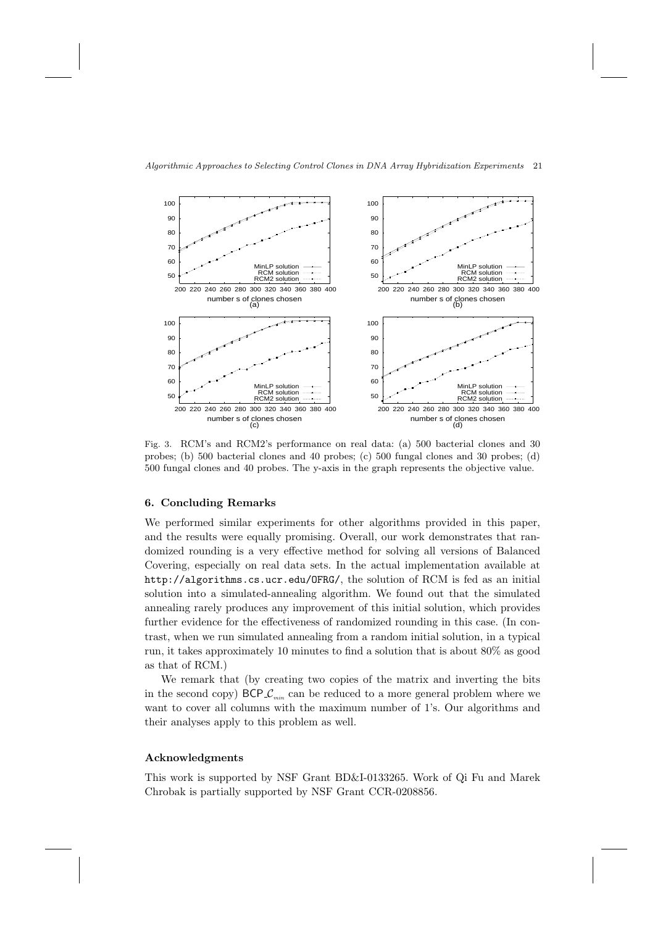

Fig. 3. RCM's and RCM2's performance on real data: (a) 500 bacterial clones and 30 probes; (b) 500 bacterial clones and 40 probes; (c) 500 fungal clones and 30 probes; (d) 500 fungal clones and 40 probes. The y-axis in the graph represents the objective value.

## 6. Concluding Remarks

We performed similar experiments for other algorithms provided in this paper, and the results were equally promising. Overall, our work demonstrates that randomized rounding is a very effective method for solving all versions of Balanced Covering, especially on real data sets. In the actual implementation available at http://algorithms.cs.ucr.edu/OFRG/, the solution of RCM is fed as an initial solution into a simulated-annealing algorithm. We found out that the simulated annealing rarely produces any improvement of this initial solution, which provides further evidence for the effectiveness of randomized rounding in this case. (In contrast, when we run simulated annealing from a random initial solution, in a typical run, it takes approximately 10 minutes to find a solution that is about 80% as good as that of RCM.)

We remark that (by creating two copies of the matrix and inverting the bits in the second copy)  $BCP\mathcal{L}_{min}$  can be reduced to a more general problem where we want to cover all columns with the maximum number of 1's. Our algorithms and their analyses apply to this problem as well.

## Acknowledgments

This work is supported by NSF Grant BD&I-0133265. Work of Qi Fu and Marek Chrobak is partially supported by NSF Grant CCR-0208856.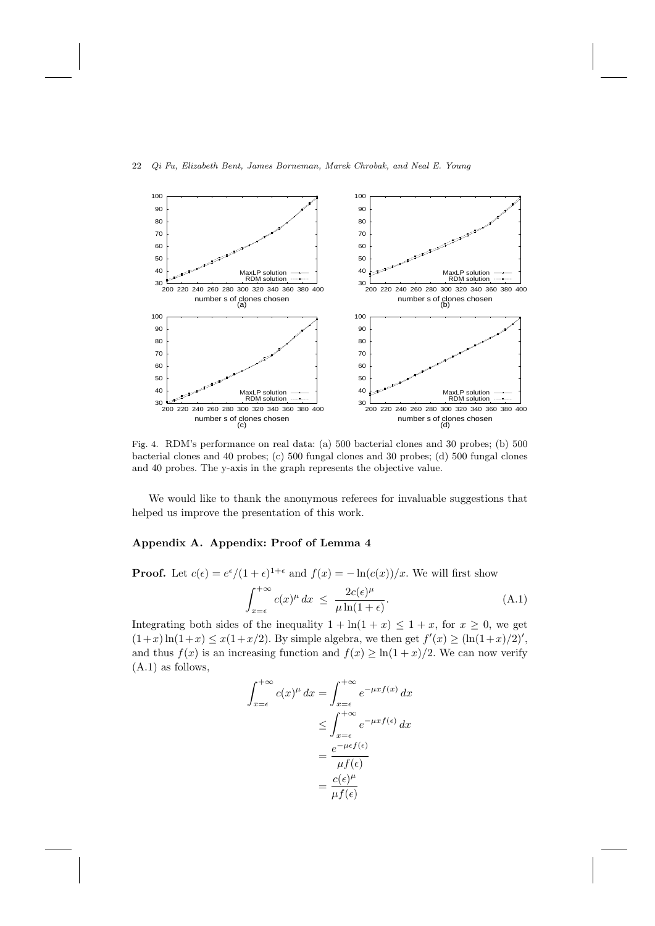

Fig. 4. RDM's performance on real data: (a) 500 bacterial clones and 30 probes; (b) 500 bacterial clones and 40 probes; (c) 500 fungal clones and 30 probes; (d) 500 fungal clones and 40 probes. The y-axis in the graph represents the objective value.

We would like to thank the anonymous referees for invaluable suggestions that helped us improve the presentation of this work.

## Appendix A. Appendix: Proof of Lemma 4

**Proof.** Let  $c(\epsilon) = e^{\epsilon}/(1+\epsilon)^{1+\epsilon}$  and  $f(x) = -\ln(c(x))/x$ . We will first show

$$
\int_{x=\epsilon}^{+\infty} c(x)^{\mu} dx \le \frac{2c(\epsilon)^{\mu}}{\mu \ln(1+\epsilon)}.
$$
\n(A.1)

Integrating both sides of the inequality  $1 + \ln(1 + x) \leq 1 + x$ , for  $x \geq 0$ , we get  $(1+x)\ln(1+x) \leq x(1+x/2)$ . By simple algebra, we then get  $f'(x) \geq (\ln(1+x)/2)'$ , and thus  $f(x)$  is an increasing function and  $f(x) \ge \ln(1+x)/2$ . We can now verify (A.1) as follows,

$$
\int_{x=\epsilon}^{+\infty} c(x)^{\mu} dx = \int_{x=\epsilon}^{+\infty} e^{-\mu x f(x)} dx
$$

$$
\leq \int_{x=\epsilon}^{+\infty} e^{-\mu x f(\epsilon)} dx
$$

$$
= \frac{e^{-\mu \epsilon f(\epsilon)}}{\mu f(\epsilon)}
$$

$$
= \frac{c(\epsilon)^{\mu}}{\mu f(\epsilon)}
$$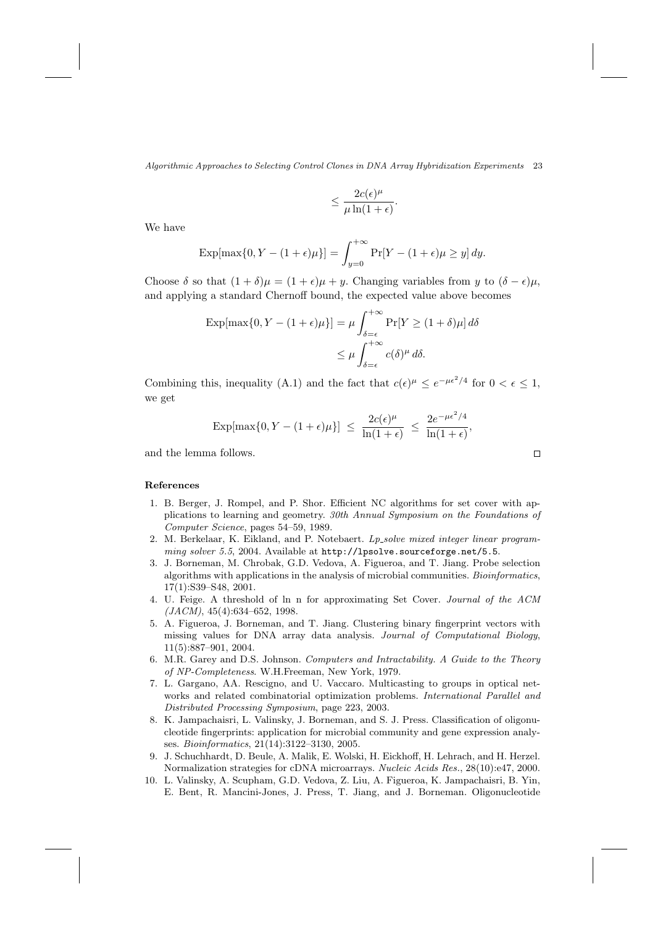$$
\leq \frac{2c(\epsilon)^{\mu}}{\mu \ln(1+\epsilon)}.
$$

We have

$$
\exp[\max\{0, Y - (1 + \epsilon)\mu\}] = \int_{y=0}^{+\infty} \Pr[Y - (1 + \epsilon)\mu \ge y] dy.
$$

Choose  $\delta$  so that  $(1 + \delta)\mu = (1 + \epsilon)\mu + y$ . Changing variables from y to  $(\delta - \epsilon)\mu$ , and applying a standard Chernoff bound, the expected value above becomes

$$
\operatorname{Exp}[\max\{0, Y - (1 + \epsilon)\mu\}] = \mu \int_{\delta = \epsilon}^{+\infty} \Pr[Y \ge (1 + \delta)\mu] d\delta
$$

$$
\le \mu \int_{\delta = \epsilon}^{+\infty} c(\delta)^{\mu} d\delta.
$$

Combining this, inequality (A.1) and the fact that  $c(\epsilon)^{\mu} \leq e^{-\mu \epsilon^2/4}$  for  $0 < \epsilon \leq 1$ , we get

$$
\exp[\max\{0, Y - (1 + \epsilon)\mu\}] \le \frac{2c(\epsilon)^{\mu}}{\ln(1 + \epsilon)} \le \frac{2e^{-\mu\epsilon^2/4}}{\ln(1 + \epsilon)}
$$

and the lemma follows.

 $\Box$ 

,

### References

- 1. B. Berger, J. Rompel, and P. Shor. Efficient NC algorithms for set cover with applications to learning and geometry. 30th Annual Symposium on the Foundations of Computer Science, pages 54–59, 1989.
- 2. M. Berkelaar, K. Eikland, and P. Notebaert. Lp\_solve mixed integer linear programming solver 5.5, 2004. Available at http://lpsolve.sourceforge.net/5.5.
- 3. J. Borneman, M. Chrobak, G.D. Vedova, A. Figueroa, and T. Jiang. Probe selection algorithms with applications in the analysis of microbial communities. Bioinformatics, 17(1):S39–S48, 2001.
- 4. U. Feige. A threshold of ln n for approximating Set Cover. Journal of the ACM  $(JACM)$ , 45(4):634–652, 1998.
- 5. A. Figueroa, J. Borneman, and T. Jiang. Clustering binary fingerprint vectors with missing values for DNA array data analysis. Journal of Computational Biology, 11(5):887–901, 2004.
- 6. M.R. Garey and D.S. Johnson. Computers and Intractability. A Guide to the Theory of NP-Completeness. W.H.Freeman, New York, 1979.
- 7. L. Gargano, AA. Rescigno, and U. Vaccaro. Multicasting to groups in optical networks and related combinatorial optimization problems. International Parallel and Distributed Processing Symposium, page 223, 2003.
- 8. K. Jampachaisri, L. Valinsky, J. Borneman, and S. J. Press. Classification of oligonucleotide fingerprints: application for microbial community and gene expression analyses. Bioinformatics, 21(14):3122–3130, 2005.
- 9. J. Schuchhardt, D. Beule, A. Malik, E. Wolski, H. Eickhoff, H. Lehrach, and H. Herzel. Normalization strategies for cDNA microarrays. Nucleic Acids Res., 28(10):e47, 2000.
- 10. L. Valinsky, A. Scupham, G.D. Vedova, Z. Liu, A. Figueroa, K. Jampachaisri, B. Yin, E. Bent, R. Mancini-Jones, J. Press, T. Jiang, and J. Borneman. Oligonucleotide